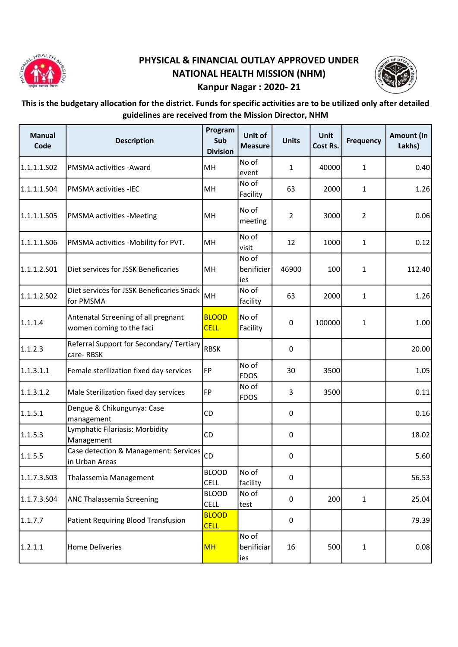

## PHYSICAL & FINANCIAL OUTLAY APPROVED UNDER NATIONAL HEALTH MISSION (NHM) Kanpur Nagar : 2020- 21



## This is the budgetary allocation for the district. Funds for specific activities are to be utilized only after detailed guidelines are received from the Mission Director, NHM

| <b>Manual</b><br>Code | <b>Description</b>                                              | Program<br>Sub<br><b>Division</b> | Unit of<br><b>Measure</b>  | <b>Units</b>   | <b>Unit</b><br>Cost Rs. | <b>Frequency</b> | Amount (In<br>Lakhs) |
|-----------------------|-----------------------------------------------------------------|-----------------------------------|----------------------------|----------------|-------------------------|------------------|----------------------|
| 1.1.1.1.502           | PMSMA activities - Award                                        | MH                                | No of<br>event             | $\mathbf{1}$   | 40000                   | $\mathbf{1}$     | 0.40                 |
| 1.1.1.1.504           | <b>PMSMA activities -IEC</b>                                    | MH                                | No of<br>Facility          | 63             | 2000                    | $\mathbf{1}$     | 1.26                 |
| 1.1.1.1.S05           | PMSMA activities -Meeting                                       | MН                                | No of<br>meeting           | $\overline{2}$ | 3000                    | 2                | 0.06                 |
| 1.1.1.1.506           | PMSMA activities -Mobility for PVT.                             | MH                                | No of<br>visit             | 12             | 1000                    | $\mathbf{1}$     | 0.12                 |
| 1.1.1.2.501           | Diet services for JSSK Beneficaries                             | MH                                | No of<br>benificier<br>ies | 46900          | 100                     | 1                | 112.40               |
| 1.1.1.2.502           | Diet services for JSSK Beneficaries Snack<br>for PMSMA          | MH                                | No of<br>facility          | 63             | 2000                    | $\mathbf{1}$     | 1.26                 |
| 1.1.1.4               | Antenatal Screening of all pregnant<br>women coming to the faci | <b>BLOOD</b><br><b>CELL</b>       | No of<br>Facility          | 0              | 100000                  | 1                | 1.00                 |
| 1.1.2.3               | Referral Support for Secondary/ Tertiary<br>care-RBSK           | <b>RBSK</b>                       |                            | $\mathsf 0$    |                         |                  | 20.00                |
| 1.1.3.1.1             | Female sterilization fixed day services                         | FP                                | No of<br><b>FDOS</b>       | 30             | 3500                    |                  | 1.05                 |
| 1.1.3.1.2             | Male Sterilization fixed day services                           | <b>FP</b>                         | No of<br><b>FDOS</b>       | 3              | 3500                    |                  | 0.11                 |
| 1.1.5.1               | Dengue & Chikungunya: Case<br>management                        | <b>CD</b>                         |                            | 0              |                         |                  | 0.16                 |
| 1.1.5.3               | Lymphatic Filariasis: Morbidity<br>Management                   | CD                                |                            | 0              |                         |                  | 18.02                |
| 1.1.5.5               | Case detection & Management: Services<br>in Urban Areas         | CD                                |                            | 0              |                         |                  | 5.60                 |
| 1.1.7.3.503           | Thalassemia Management                                          | <b>BLOOD</b><br><b>CELL</b>       | No of<br>facility          | 0              |                         |                  | 56.53                |
| 1.1.7.3.504           | ANC Thalassemia Screening                                       | <b>BLOOD</b><br><b>CELL</b>       | No of<br>test              | 0              | 200                     | $\mathbf{1}$     | 25.04                |
| 1.1.7.7               | Patient Requiring Blood Transfusion                             | <b>BLOOD</b><br><b>CELL</b>       |                            | 0              |                         |                  | 79.39                |
| 1.2.1.1               | <b>Home Deliveries</b>                                          | <b>MH</b>                         | No of<br>benificiar<br>ies | 16             | 500                     | 1                | 0.08                 |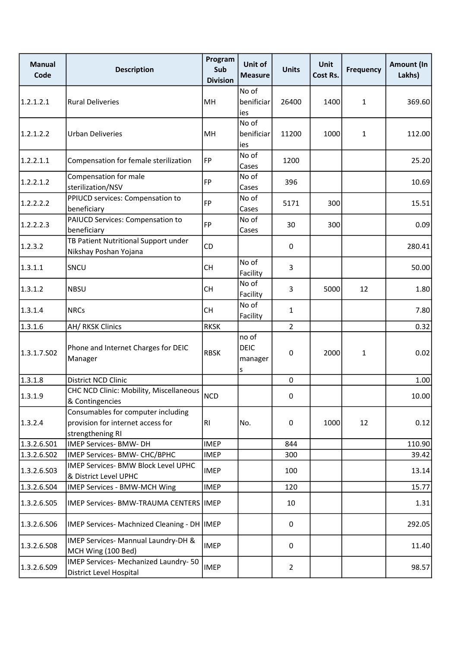| <b>Manual</b><br>Code | <b>Description</b>                                                                          | Program<br>Sub<br><b>Division</b> | Unit of<br><b>Measure</b>            | <b>Units</b>   | <b>Unit</b><br>Cost Rs. | <b>Frequency</b> | <b>Amount (In</b><br>Lakhs) |
|-----------------------|---------------------------------------------------------------------------------------------|-----------------------------------|--------------------------------------|----------------|-------------------------|------------------|-----------------------------|
| 1.2.1.2.1             | <b>Rural Deliveries</b>                                                                     | MH                                | No of<br>benificiar<br>ies           | 26400          | 1400                    | $\mathbf{1}$     | 369.60                      |
| 1.2.1.2.2             | <b>Urban Deliveries</b>                                                                     | MH                                | No of<br>benificiar<br>ies           | 11200          | 1000                    | $\mathbf{1}$     | 112.00                      |
| 1.2.2.1.1             | Compensation for female sterilization                                                       | FP                                | No of<br>Cases                       | 1200           |                         |                  | 25.20                       |
| 1.2.2.1.2             | Compensation for male<br>sterilization/NSV                                                  | <b>FP</b>                         | No of<br>Cases                       | 396            |                         |                  | 10.69                       |
| 1.2.2.2.2             | PPIUCD services: Compensation to<br>beneficiary                                             | <b>FP</b>                         | No of<br>Cases                       | 5171           | 300                     |                  | 15.51                       |
| 1.2.2.2.3             | PAIUCD Services: Compensation to<br>beneficiary                                             | FP                                | No of<br>Cases                       | 30             | 300                     |                  | 0.09                        |
| 1.2.3.2               | TB Patient Nutritional Support under<br>Nikshay Poshan Yojana                               | CD                                |                                      | 0              |                         |                  | 280.41                      |
| 1.3.1.1               | SNCU                                                                                        | <b>CH</b>                         | No of<br>Facility                    | 3              |                         |                  | 50.00                       |
| 1.3.1.2               | <b>NBSU</b>                                                                                 | <b>CH</b>                         | No of<br>Facility                    | 3              | 5000                    | 12               | 1.80                        |
| 1.3.1.4               | <b>NRCs</b>                                                                                 | <b>CH</b>                         | No of<br>Facility                    | 1              |                         |                  | 7.80                        |
| 1.3.1.6               | AH/ RKSK Clinics                                                                            | <b>RKSK</b>                       |                                      | $\overline{2}$ |                         |                  | 0.32                        |
| 1.3.1.7.502           | Phone and Internet Charges for DEIC<br>Manager                                              | <b>RBSK</b>                       | no of<br><b>DEIC</b><br>manager<br>s | 0              | 2000                    | 1                | 0.02                        |
| 1.3.1.8               | District NCD Clinic                                                                         |                                   |                                      | $\mathbf 0$    |                         |                  | 1.00                        |
| 1.3.1.9               | CHC NCD Clinic: Mobility, Miscellaneous<br>& Contingencies                                  | <b>NCD</b>                        |                                      | 0              |                         |                  | 10.00                       |
| 1.3.2.4               | Consumables for computer including<br>provision for internet access for<br>strengthening RI | R <sub>1</sub>                    | No.                                  | 0              | 1000                    | 12               | 0.12                        |
| 1.3.2.6.S01           | IMEP Services- BMW- DH                                                                      | <b>IMEP</b>                       |                                      | 844            |                         |                  | 110.90                      |
| 1.3.2.6.502           | IMEP Services- BMW- CHC/BPHC                                                                | <b>IMEP</b>                       |                                      | 300            |                         |                  | 39.42                       |
| 1.3.2.6.503           | IMEP Services- BMW Block Level UPHC<br>& District Level UPHC                                | <b>IMEP</b>                       |                                      | 100            |                         |                  | 13.14                       |
| 1.3.2.6.504           | IMEP Services - BMW-MCH Wing                                                                | <b>IMEP</b>                       |                                      | 120            |                         |                  | 15.77                       |
| 1.3.2.6.505           | <b>IMEP Services- BMW-TRAUMA CENTERS IMEP</b>                                               |                                   |                                      | 10             |                         |                  | 1.31                        |
| 1.3.2.6.506           | IMEP Services- Machnized Cleaning - DH   IMEP                                               |                                   |                                      | $\mathsf 0$    |                         |                  | 292.05                      |
| 1.3.2.6.508           | IMEP Services- Mannual Laundry-DH &<br>MCH Wing (100 Bed)                                   | <b>IMEP</b>                       |                                      | 0              |                         |                  | 11.40                       |
| 1.3.2.6.509           | IMEP Services- Mechanized Laundry-50<br>District Level Hospital                             | <b>IMEP</b>                       |                                      | $\overline{2}$ |                         |                  | 98.57                       |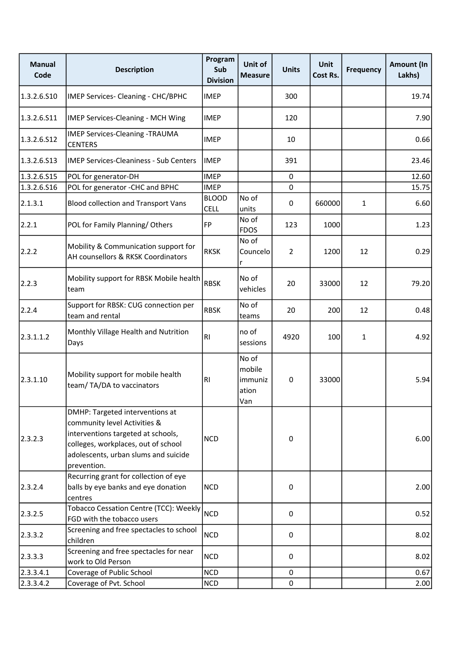| <b>Manual</b><br>Code | <b>Description</b>                                                                                                                                                                                  | Program<br>Sub<br><b>Division</b> | Unit of<br><b>Measure</b>                  | <b>Units</b>   | <b>Unit</b><br>Cost Rs. | <b>Frequency</b> | Amount (In<br>Lakhs) |
|-----------------------|-----------------------------------------------------------------------------------------------------------------------------------------------------------------------------------------------------|-----------------------------------|--------------------------------------------|----------------|-------------------------|------------------|----------------------|
| 1.3.2.6.510           | IMEP Services- Cleaning - CHC/BPHC                                                                                                                                                                  | <b>IMEP</b>                       |                                            | 300            |                         |                  | 19.74                |
| 1.3.2.6.511           | IMEP Services-Cleaning - MCH Wing                                                                                                                                                                   | <b>IMEP</b>                       |                                            | 120            |                         |                  | 7.90                 |
| 1.3.2.6.512           | <b>IMEP Services-Cleaning -TRAUMA</b><br><b>CENTERS</b>                                                                                                                                             | <b>IMEP</b>                       |                                            | 10             |                         |                  | 0.66                 |
| 1.3.2.6.513           | <b>IMEP Services-Cleaniness - Sub Centers</b>                                                                                                                                                       | <b>IMEP</b>                       |                                            | 391            |                         |                  | 23.46                |
| 1.3.2.6.515           | POL for generator-DH                                                                                                                                                                                | <b>IMEP</b>                       |                                            | $\mathbf 0$    |                         |                  | 12.60                |
| 1.3.2.6.516           | POL for generator -CHC and BPHC                                                                                                                                                                     | <b>IMEP</b>                       |                                            | 0              |                         |                  | 15.75                |
| 2.1.3.1               | <b>Blood collection and Transport Vans</b>                                                                                                                                                          | <b>BLOOD</b><br><b>CELL</b>       | No of<br>units                             | 0              | 660000                  | $\mathbf{1}$     | 6.60                 |
| 2.2.1                 | POL for Family Planning/Others                                                                                                                                                                      | FP                                | No of<br><b>FDOS</b>                       | 123            | 1000                    |                  | 1.23                 |
| 2.2.2                 | Mobility & Communication support for<br>AH counsellors & RKSK Coordinators                                                                                                                          | <b>RKSK</b>                       | No of<br>Councelo<br>r                     | $\overline{2}$ | 1200                    | 12               | 0.29                 |
| 2.2.3                 | Mobility support for RBSK Mobile health<br>team                                                                                                                                                     | <b>RBSK</b>                       | No of<br>vehicles                          | 20             | 33000                   | 12               | 79.20                |
| 2.2.4                 | Support for RBSK: CUG connection per<br>team and rental                                                                                                                                             | <b>RBSK</b>                       | No of<br>teams                             | 20             | 200                     | 12               | 0.48                 |
| 2.3.1.1.2             | Monthly Village Health and Nutrition<br>Days                                                                                                                                                        | RI                                | no of<br>sessions                          | 4920           | 100                     | $\mathbf{1}$     | 4.92                 |
| 2.3.1.10              | Mobility support for mobile health<br>team/TA/DA to vaccinators                                                                                                                                     | R <sub>1</sub>                    | No of<br>mobile<br>immuniz<br>ation<br>Van | 0              | 33000                   |                  | 5.94                 |
| 2.3.2.3               | DMHP: Targeted interventions at<br>community level Activities &<br>interventions targeted at schools,<br>colleges, workplaces, out of school<br>adolescents, urban slums and suicide<br>prevention. | <b>NCD</b>                        |                                            | 0              |                         |                  | 6.00                 |
| 2.3.2.4               | Recurring grant for collection of eye<br>balls by eye banks and eye donation<br>centres                                                                                                             | <b>NCD</b>                        |                                            | $\pmb{0}$      |                         |                  | 2.00                 |
| 2.3.2.5               | Tobacco Cessation Centre (TCC): Weekly<br>FGD with the tobacco users                                                                                                                                | <b>NCD</b>                        |                                            | 0              |                         |                  | 0.52                 |
| 2.3.3.2               | Screening and free spectacles to school<br>children                                                                                                                                                 | <b>NCD</b>                        |                                            | $\mathsf 0$    |                         |                  | 8.02                 |
| 2.3.3.3               | Screening and free spectacles for near<br>work to Old Person                                                                                                                                        | <b>NCD</b>                        |                                            | $\mathsf 0$    |                         |                  | 8.02                 |
| 2.3.3.4.1             | Coverage of Public School                                                                                                                                                                           | <b>NCD</b>                        |                                            | $\mathbf 0$    |                         |                  | 0.67                 |
| 2.3.3.4.2             | Coverage of Pvt. School                                                                                                                                                                             | <b>NCD</b>                        |                                            | $\mathbf 0$    |                         |                  | 2.00                 |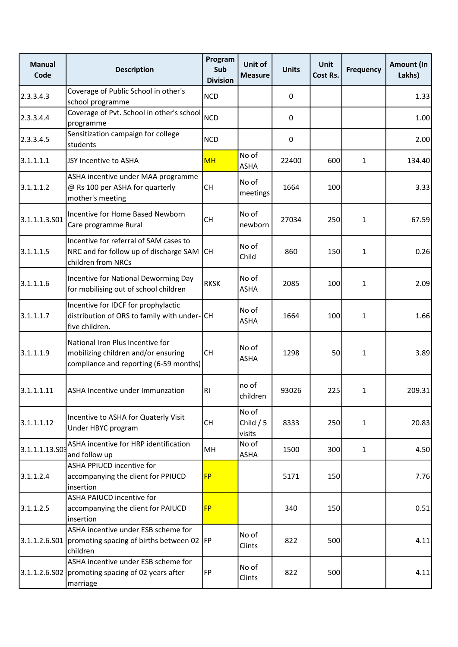| <b>Manual</b><br>Code | <b>Description</b>                                                                                                | Program<br>Sub<br><b>Division</b> | Unit of<br><b>Measure</b>     | <b>Units</b> | <b>Unit</b><br>Cost Rs. | <b>Frequency</b> | <b>Amount (In</b><br>Lakhs) |
|-----------------------|-------------------------------------------------------------------------------------------------------------------|-----------------------------------|-------------------------------|--------------|-------------------------|------------------|-----------------------------|
| 2.3.3.4.3             | Coverage of Public School in other's<br>school programme                                                          | <b>NCD</b>                        |                               | 0            |                         |                  | 1.33                        |
| 2.3.3.4.4             | Coverage of Pvt. School in other's school<br>programme                                                            | <b>NCD</b>                        |                               | 0            |                         |                  | 1.00                        |
| 2.3.3.4.5             | Sensitization campaign for college<br>students                                                                    | <b>NCD</b>                        |                               | 0            |                         |                  | 2.00                        |
| 3.1.1.1.1             | JSY Incentive to ASHA                                                                                             | <b>MH</b>                         | No of<br><b>ASHA</b>          | 22400        | 600                     | $\mathbf{1}$     | 134.40                      |
| 3.1.1.1.2             | ASHA incentive under MAA programme<br>@ Rs 100 per ASHA for quarterly<br>mother's meeting                         | <b>CH</b>                         | No of<br>meetings             | 1664         | 100                     |                  | 3.33                        |
| 3.1.1.1.3.501         | Incentive for Home Based Newborn<br>Care programme Rural                                                          | <b>CH</b>                         | No of<br>newborn              | 27034        | 250                     | $\mathbf{1}$     | 67.59                       |
| 3.1.1.1.5             | Incentive for referral of SAM cases to<br>NRC and for follow up of discharge SAM<br>children from NRCs            | <b>CH</b>                         | No of<br>Child                | 860          | 150                     | $\mathbf{1}$     | 0.26                        |
| 3.1.1.1.6             | Incentive for National Deworming Day<br>for mobilising out of school children                                     | <b>RKSK</b>                       | No of<br><b>ASHA</b>          | 2085         | 100                     | $\mathbf{1}$     | 2.09                        |
| 3.1.1.1.7             | Incentive for IDCF for prophylactic<br>distribution of ORS to family with under-CH<br>five children.              |                                   | No of<br><b>ASHA</b>          | 1664         | 100                     | $\mathbf{1}$     | 1.66                        |
| 3.1.1.1.9             | National Iron Plus Incentive for<br>mobilizing children and/or ensuring<br>compliance and reporting (6-59 months) | <b>CH</b>                         | No of<br><b>ASHA</b>          | 1298         | 50                      | $\mathbf{1}$     | 3.89                        |
| 3.1.1.1.11            | ASHA Incentive under Immunzation                                                                                  | RI                                | no of<br>children             | 93026        | 225                     | $\mathbf{1}$     | 209.31                      |
| 3.1.1.1.12            | Incentive to ASHA for Quaterly Visit<br>Under HBYC program                                                        | <b>CH</b>                         | No of<br>Child $/5$<br>visits | 8333         | 250                     | $\mathbf{1}$     | 20.83                       |
| 3.1.1.1.13.S0         | ASHA incentive for HRP identification<br>and follow up                                                            | MH                                | No of<br><b>ASHA</b>          | 1500         | 300                     | $\mathbf{1}$     | 4.50                        |
| 3.1.1.2.4             | ASHA PPIUCD incentive for<br>accompanying the client for PPIUCD<br>insertion                                      | <b>FP</b>                         |                               | 5171         | 150                     |                  | 7.76                        |
| 3.1.1.2.5             | <b>ASHA PAIUCD incentive for</b><br>accompanying the client for PAIUCD<br>insertion                               | <b>FP</b>                         |                               | 340          | 150                     |                  | 0.51                        |
| 3.1.1.2.6.501         | ASHA incentive under ESB scheme for<br>promoting spacing of births between 02 FP<br>children                      |                                   | No of<br>Clints               | 822          | 500                     |                  | 4.11                        |
|                       | ASHA incentive under ESB scheme for<br>3.1.1.2.6.S02 promoting spacing of 02 years after<br>marriage              | <b>FP</b>                         | No of<br>Clints               | 822          | 500                     |                  | 4.11                        |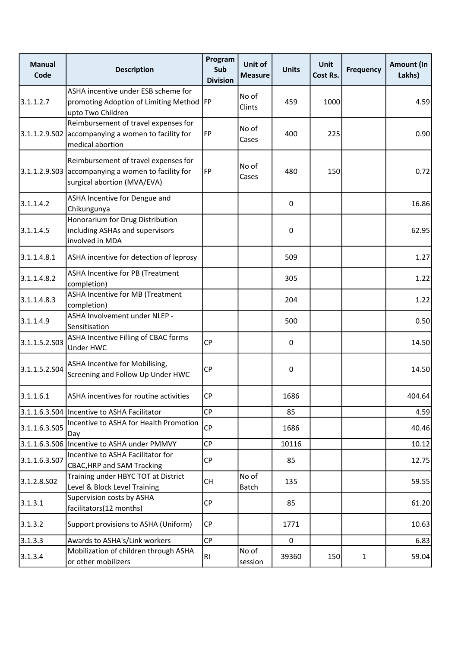| <b>Manual</b><br>Code | <b>Description</b>                                                                                                        | Program<br>Sub<br><b>Division</b> | Unit of<br><b>Measure</b> | <b>Units</b> | Unit<br>Cost Rs. | <b>Frequency</b> | Amount (In<br>Lakhs) |
|-----------------------|---------------------------------------------------------------------------------------------------------------------------|-----------------------------------|---------------------------|--------------|------------------|------------------|----------------------|
| 3.1.1.2.7             | ASHA incentive under ESB scheme for<br>promoting Adoption of Limiting Method   FP<br>upto Two Children                    |                                   | No of<br>Clints           | 459          | 1000             |                  | 4.59                 |
|                       | Reimbursement of travel expenses for<br>3.1.1.2.9.502 accompanying a women to facility for<br>medical abortion            | FP                                | No of<br>Cases            | 400          | 225              |                  | 0.90                 |
|                       | Reimbursement of travel expenses for<br>3.1.1.2.9.503 accompanying a women to facility for<br>surgical abortion (MVA/EVA) | FP                                | No of<br>Cases            | 480          | 150              |                  | 0.72                 |
| 3.1.1.4.2             | ASHA Incentive for Dengue and<br>Chikungunya                                                                              |                                   |                           | $\mathbf 0$  |                  |                  | 16.86                |
| 3.1.1.4.5             | Honorarium for Drug Distribution<br>including ASHAs and supervisors<br>involved in MDA                                    |                                   |                           | $\pmb{0}$    |                  |                  | 62.95                |
| 3.1.1.4.8.1           | ASHA incentive for detection of leprosy                                                                                   |                                   |                           | 509          |                  |                  | 1.27                 |
| 3.1.1.4.8.2           | ASHA Incentive for PB (Treatment<br>completion)                                                                           |                                   |                           | 305          |                  |                  | 1.22                 |
| 3.1.1.4.8.3           | ASHA Incentive for MB (Treatment<br>completion)                                                                           |                                   |                           | 204          |                  |                  | 1.22                 |
| 3.1.1.4.9             | ASHA Involvement under NLEP -<br>Sensitisation                                                                            |                                   |                           | 500          |                  |                  | 0.50                 |
| 3.1.1.5.2.S03         | ASHA Incentive Filling of CBAC forms<br>Under HWC                                                                         | <b>CP</b>                         |                           | 0            |                  |                  | 14.50                |
| 3.1.1.5.2.504         | ASHA Incentive for Mobilising,<br>Screening and Follow Up Under HWC                                                       | <b>CP</b>                         |                           | $\pmb{0}$    |                  |                  | 14.50                |
| 3.1.1.6.1             | ASHA incentives for routine activities                                                                                    | СP                                |                           | 1686         |                  |                  | 404.64               |
|                       | 3.1.1.6.3.S04   Incentive to ASHA Facilitator                                                                             | <b>CP</b>                         |                           | 85           |                  |                  | 4.59                 |
| 3.1.1.6.3.505         | Incentive to ASHA for Health Promotion<br>Day                                                                             | CP                                |                           | 1686         |                  |                  | 40.46                |
| 3.1.1.6.3.S06         | Incentive to ASHA under PMMVY                                                                                             | CP                                |                           | 10116        |                  |                  | 10.12                |
| 3.1.1.6.3.507         | Incentive to ASHA Facilitator for<br><b>CBAC, HRP and SAM Tracking</b>                                                    | CP                                |                           | 85           |                  |                  | 12.75                |
| 3.1.2.8.502           | Training under HBYC TOT at District<br>Level & Block Level Training                                                       | <b>CH</b>                         | No of<br><b>Batch</b>     | 135          |                  |                  | 59.55                |
| 3.1.3.1               | Supervision costs by ASHA<br>facilitators(12 months)                                                                      | CP                                |                           | 85           |                  |                  | 61.20                |
| 3.1.3.2               | Support provisions to ASHA (Uniform)                                                                                      | CP                                |                           | 1771         |                  |                  | 10.63                |
| 3.1.3.3               | Awards to ASHA's/Link workers                                                                                             | <b>CP</b>                         |                           | $\mathbf 0$  |                  |                  | 6.83                 |
| 3.1.3.4               | Mobilization of children through ASHA<br>or other mobilizers                                                              | <b>RI</b>                         | No of<br>session          | 39360        | 150              | $\mathbf{1}$     | 59.04                |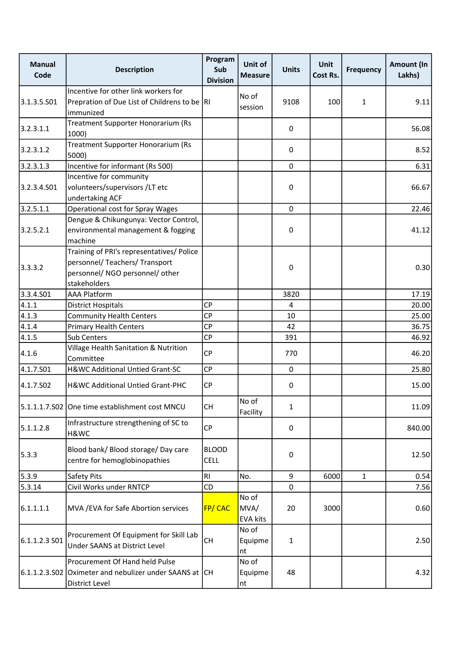| <b>Manual</b><br>Code | <b>Description</b>                                                                                                             | Program<br>Sub<br><b>Division</b> | Unit of<br><b>Measure</b>        | <b>Units</b> | Unit<br>Cost Rs. | <b>Frequency</b> | Amount (In<br>Lakhs) |
|-----------------------|--------------------------------------------------------------------------------------------------------------------------------|-----------------------------------|----------------------------------|--------------|------------------|------------------|----------------------|
| 3.1.3.5.S01           | Incentive for other link workers for<br>Prepration of Due List of Childrens to be  RI<br>immunized                             |                                   | No of<br>session                 | 9108         | 100              | $\mathbf{1}$     | 9.11                 |
| 3.2.3.1.1             | Treatment Supporter Honorarium (Rs<br>1000)                                                                                    |                                   |                                  | 0            |                  |                  | 56.08                |
| 3.2.3.1.2             | Treatment Supporter Honorarium (Rs<br>5000)                                                                                    |                                   |                                  | 0            |                  |                  | 8.52                 |
| 3.2.3.1.3             | Incentive for informant (Rs 500)                                                                                               |                                   |                                  | $\mathbf 0$  |                  |                  | 6.31                 |
| 3.2.3.4.S01           | Incentive for community<br>volunteers/supervisors/LT etc<br>undertaking ACF                                                    |                                   |                                  | 0            |                  |                  | 66.67                |
| 3.2.5.1.1             | <b>Operational cost for Spray Wages</b>                                                                                        |                                   |                                  | $\mathbf 0$  |                  |                  | 22.46                |
| 3.2.5.2.1             | Dengue & Chikungunya: Vector Control,<br>environmental management & fogging<br>machine                                         |                                   |                                  | 0            |                  |                  | 41.12                |
| 3.3.3.2               | Training of PRI's representatives/ Police<br>personnel/ Teachers/ Transport<br>personnel/ NGO personnel/ other<br>stakeholders |                                   |                                  | 0            |                  |                  | 0.30                 |
| 3.3.4.501             | <b>AAA Platform</b>                                                                                                            |                                   |                                  | 3820         |                  |                  | 17.19                |
| 4.1.1                 | <b>District Hospitals</b>                                                                                                      | <b>CP</b>                         |                                  | 4            |                  |                  | 20.00                |
| 4.1.3                 | <b>Community Health Centers</b>                                                                                                | <b>CP</b>                         |                                  | 10           |                  |                  | 25.00                |
| 4.1.4                 | <b>Primary Health Centers</b>                                                                                                  | CP                                |                                  | 42           |                  |                  | 36.75                |
| 4.1.5                 | Sub Centers                                                                                                                    | CP                                |                                  | 391          |                  |                  | 46.92                |
| 4.1.6                 | Village Health Sanitation & Nutrition<br>Committee                                                                             | CP                                |                                  | 770          |                  |                  | 46.20                |
| 4.1.7.S01             | H&WC Additional Untied Grant-SC                                                                                                | CP                                |                                  | $\mathbf 0$  |                  |                  | 25.80                |
| 4.1.7.S02             | H&WC Additional Untied Grant-PHC                                                                                               | <b>CP</b>                         |                                  | 0            |                  |                  | 15.00                |
|                       | 5.1.1.1.7.S02 One time establishment cost MNCU                                                                                 | <b>CH</b>                         | No of<br>Facility                | 1            |                  |                  | 11.09                |
| 5.1.1.2.8             | Infrastructure strengthening of SC to<br>H&WC                                                                                  | <b>CP</b>                         |                                  | 0            |                  |                  | 840.00               |
| 5.3.3                 | Blood bank/ Blood storage/ Day care<br>centre for hemoglobinopathies                                                           | <b>BLOOD</b><br><b>CELL</b>       |                                  | 0            |                  |                  | 12.50                |
| 5.3.9                 | Safety Pits                                                                                                                    | RI                                | No.                              | 9            | 6000             | $\mathbf{1}$     | 0.54                 |
| 5.3.14                | Civil Works under RNTCP                                                                                                        | CD                                |                                  | $\Omega$     |                  |                  | 7.56                 |
| 6.1.1.1.1             | MVA / EVA for Safe Abortion services                                                                                           | <b>FP/CAC</b>                     | No of<br>MVA/<br><b>EVA kits</b> | 20           | 3000             |                  | 0.60                 |
| 6.1.1.2.3 S01         | Procurement Of Equipment for Skill Lab<br>Under SAANS at District Level                                                        | CH                                | No of<br>Equipme<br>nt           | $\mathbf{1}$ |                  |                  | 2.50                 |
| 6.1.1.2.3.S02         | Procurement Of Hand held Pulse<br>Oximeter and nebulizer under SAANS at CH<br>District Level                                   |                                   | No of<br>Equipme<br>nt           | 48           |                  |                  | 4.32                 |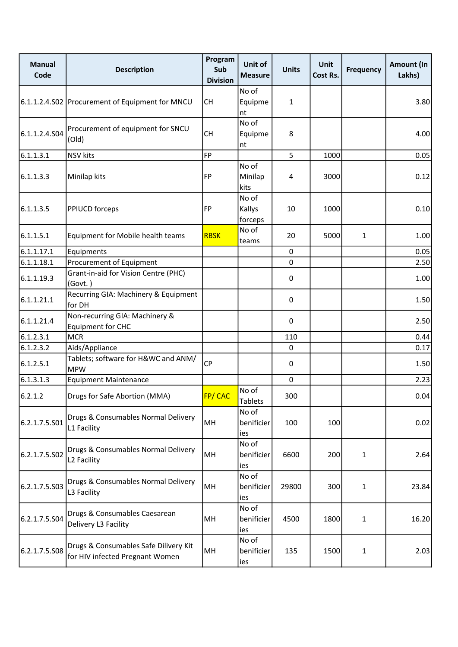| <b>Manual</b><br>Code | <b>Description</b>                                                       | Program<br>Sub<br><b>Division</b> | Unit of<br><b>Measure</b>  | <b>Units</b> | Unit<br>Cost Rs. | <b>Frequency</b> | Amount (In<br>Lakhs) |
|-----------------------|--------------------------------------------------------------------------|-----------------------------------|----------------------------|--------------|------------------|------------------|----------------------|
|                       | 6.1.1.2.4.S02 Procurement of Equipment for MNCU                          | <b>CH</b>                         | No of<br>Equipme<br>nt     | 1            |                  |                  | 3.80                 |
| 6.1.1.2.4.504         | Procurement of equipment for SNCU<br>(Old)                               | <b>CH</b>                         | No of<br>Equipme<br>nt     | 8            |                  |                  | 4.00                 |
| 6.1.1.3.1             | <b>NSV kits</b>                                                          | FP                                |                            | 5            | 1000             |                  | 0.05                 |
| 6.1.1.3.3             | Minilap kits                                                             | FP                                | No of<br>Minilap<br>kits   | 4            | 3000             |                  | 0.12                 |
| 6.1.1.3.5             | PPIUCD forceps                                                           | FP                                | No of<br>Kallys<br>forceps | 10           | 1000             |                  | 0.10                 |
| 6.1.1.5.1             | Equipment for Mobile health teams                                        | <b>RBSK</b>                       | No of<br>teams             | 20           | 5000             | $\mathbf{1}$     | 1.00                 |
| 6.1.1.17.1            | Equipments                                                               |                                   |                            | 0            |                  |                  | 0.05                 |
| 6.1.1.18.1            | Procurement of Equipment                                                 |                                   |                            | $\mathbf 0$  |                  |                  | 2.50                 |
| 6.1.1.19.3            | Grant-in-aid for Vision Centre (PHC)<br>(Govt.)                          |                                   |                            | 0            |                  |                  | 1.00                 |
| 6.1.1.21.1            | Recurring GIA: Machinery & Equipment<br>for DH                           |                                   |                            | 0            |                  |                  | 1.50                 |
| 6.1.1.21.4            | Non-recurring GIA: Machinery &<br><b>Equipment for CHC</b>               |                                   |                            | 0            |                  |                  | 2.50                 |
| 6.1.2.3.1             | <b>MCR</b>                                                               |                                   |                            | 110          |                  |                  | 0.44                 |
| 6.1.2.3.2             | Aids/Appliance                                                           |                                   |                            | $\mathbf 0$  |                  |                  | 0.17                 |
| 6.1.2.5.1             | Tablets; software for H&WC and ANM/<br><b>MPW</b>                        | CP                                |                            | 0            |                  |                  | 1.50                 |
| 6.1.3.1.3             | <b>Equipment Maintenance</b>                                             |                                   |                            | 0            |                  |                  | 2.23                 |
| 6.2.1.2               | Drugs for Safe Abortion (MMA)                                            | FP/CAC                            | No of<br><b>Tablets</b>    | 300          |                  |                  | 0.04                 |
| 6.2.1.7.5.501         | Drugs & Consumables Normal Delivery<br>L1 Facility                       | MH                                | No of<br>benificier<br>ies | 100          | 100              |                  | 0.02                 |
| 6.2.1.7.5.S02         | Drugs & Consumables Normal Delivery<br>L2 Facility                       | MH                                | No of<br>benificier<br>ies | 6600         | 200              | $\mathbf{1}$     | 2.64                 |
| 6.2.1.7.5.503         | Drugs & Consumables Normal Delivery<br>L3 Facility                       | MH                                | No of<br>benificier<br>ies | 29800        | 300              | $\mathbf{1}$     | 23.84                |
| 6.2.1.7.5.504         | Drugs & Consumables Caesarean<br>Delivery L3 Facility                    | MH                                | No of<br>benificier<br>ies | 4500         | 1800             | $\mathbf{1}$     | 16.20                |
| 6.2.1.7.5.508         | Drugs & Consumables Safe Dilivery Kit<br>for HIV infected Pregnant Women | MH                                | No of<br>benificier<br>ies | 135          | 1500             | $\mathbf{1}$     | 2.03                 |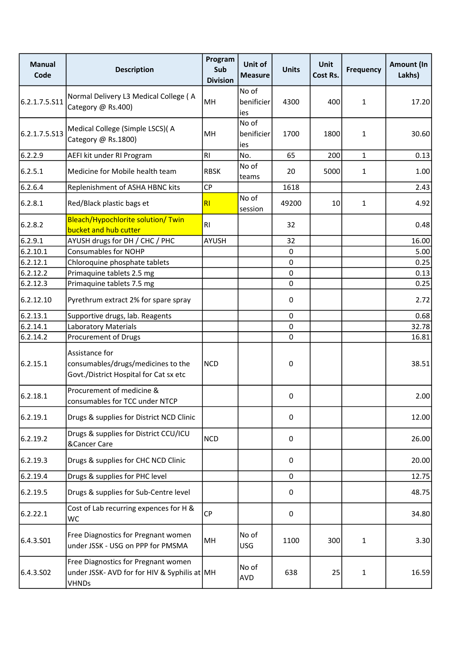| <b>Manual</b><br>Code | <b>Description</b>                                                                                  | Program<br>Sub<br><b>Division</b> | Unit of<br><b>Measure</b>  | <b>Units</b> | Unit<br>Cost Rs. | <b>Frequency</b> | Amount (In<br>Lakhs) |
|-----------------------|-----------------------------------------------------------------------------------------------------|-----------------------------------|----------------------------|--------------|------------------|------------------|----------------------|
| 6.2.1.7.5.S11         | Normal Delivery L3 Medical College (A<br>Category @ Rs.400)                                         | MH                                | No of<br>benificier<br>ies | 4300         | 400              | $\mathbf{1}$     | 17.20                |
| 6.2.1.7.5.S13         | Medical College (Simple LSCS)( A<br>Category @ Rs.1800)                                             | MH                                | No of<br>benificier<br>ies | 1700         | 1800             | $\mathbf{1}$     | 30.60                |
| 6.2.2.9               | AEFI kit under RI Program                                                                           | R <sub>1</sub>                    | No.                        | 65           | 200              | $\mathbf{1}$     | 0.13                 |
| 6.2.5.1               | Medicine for Mobile health team                                                                     | <b>RBSK</b>                       | No of<br>teams             | 20           | 5000             | $\mathbf{1}$     | 1.00                 |
| 6.2.6.4               | Replenishment of ASHA HBNC kits                                                                     | CP                                |                            | 1618         |                  |                  | 2.43                 |
| 6.2.8.1               | Red/Black plastic bags et                                                                           | RI                                | No of<br>session           | 49200        | 10               | $\mathbf{1}$     | 4.92                 |
| 6.2.8.2               | Bleach/Hypochlorite solution/ Twin<br>bucket and hub cutter                                         | R <sub>l</sub>                    |                            | 32           |                  |                  | 0.48                 |
| 6.2.9.1               | AYUSH drugs for DH / CHC / PHC                                                                      | <b>AYUSH</b>                      |                            | 32           |                  |                  | 16.00                |
| 6.2.10.1              | <b>Consumables for NOHP</b>                                                                         |                                   |                            | 0            |                  |                  | 5.00                 |
| 6.2.12.1              | Chloroquine phosphate tablets                                                                       |                                   |                            | $\mathbf 0$  |                  |                  | 0.25                 |
| 6.2.12.2              | Primaquine tablets 2.5 mg                                                                           |                                   |                            | $\mathbf 0$  |                  |                  | 0.13                 |
| 6.2.12.3              | Primaquine tablets 7.5 mg                                                                           |                                   |                            | $\mathbf 0$  |                  |                  | 0.25                 |
| 6.2.12.10             | Pyrethrum extract 2% for spare spray                                                                |                                   |                            | 0            |                  |                  | 2.72                 |
| 6.2.13.1              | Supportive drugs, lab. Reagents                                                                     |                                   |                            | $\mathbf 0$  |                  |                  | 0.68                 |
| 6.2.14.1              | <b>Laboratory Materials</b>                                                                         |                                   |                            | $\mathbf 0$  |                  |                  | 32.78                |
| 6.2.14.2              | Procurement of Drugs                                                                                |                                   |                            | 0            |                  |                  | 16.81                |
| 6.2.15.1              | Assistance for<br>consumables/drugs/medicines to the<br>Govt./District Hospital for Cat sx etc      | <b>NCD</b>                        |                            | 0            |                  |                  | 38.51                |
| 6.2.18.1              | Procurement of medicine &<br>consumables for TCC under NTCP                                         |                                   |                            | 0            |                  |                  | 2.00                 |
| 6.2.19.1              | Drugs & supplies for District NCD Clinic                                                            |                                   |                            | 0            |                  |                  | 12.00                |
| 6.2.19.2              | Drugs & supplies for District CCU/ICU<br>&Cancer Care                                               | <b>NCD</b>                        |                            | $\pmb{0}$    |                  |                  | 26.00                |
| 6.2.19.3              | Drugs & supplies for CHC NCD Clinic                                                                 |                                   |                            | 0            |                  |                  | 20.00                |
| 6.2.19.4              | Drugs & supplies for PHC level                                                                      |                                   |                            | $\mathbf 0$  |                  |                  | 12.75                |
| 6.2.19.5              | Drugs & supplies for Sub-Centre level                                                               |                                   |                            | 0            |                  |                  | 48.75                |
| 6.2.22.1              | Cost of Lab recurring expences for H &<br><b>WC</b>                                                 | <b>CP</b>                         |                            | $\pmb{0}$    |                  |                  | 34.80                |
| 6.4.3.501             | Free Diagnostics for Pregnant women<br>under JSSK - USG on PPP for PMSMA                            | MH                                | No of<br><b>USG</b>        | 1100         | 300              | $\mathbf{1}$     | 3.30                 |
| 6.4.3.S02             | Free Diagnostics for Pregnant women<br>under JSSK- AVD for for HIV & Syphilis at MH<br><b>VHNDs</b> |                                   | No of<br>AVD               | 638          | 25               | $\mathbf{1}$     | 16.59                |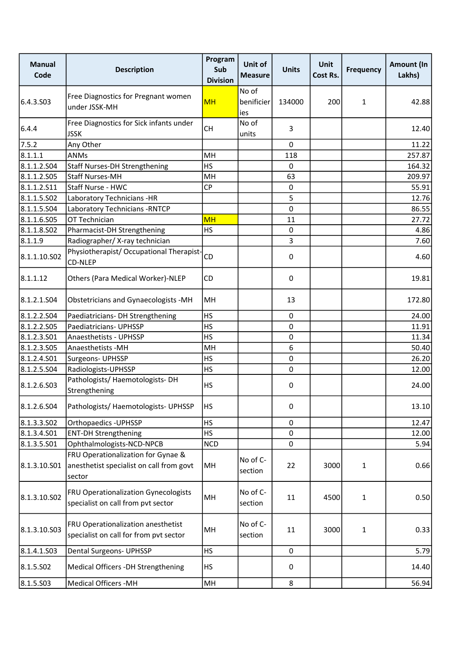| <b>Manual</b><br>Code | <b>Description</b>                                                                       | Program<br>Sub<br><b>Division</b> | Unit of<br><b>Measure</b>  | <b>Units</b> | Unit<br>Cost Rs. | <b>Frequency</b> | <b>Amount (In</b><br>Lakhs) |
|-----------------------|------------------------------------------------------------------------------------------|-----------------------------------|----------------------------|--------------|------------------|------------------|-----------------------------|
| 6.4.3.S03             | Free Diagnostics for Pregnant women<br>under JSSK-MH                                     | <b>MH</b>                         | No of<br>benificier<br>ies | 134000       | 200              | 1                | 42.88                       |
| 6.4.4                 | Free Diagnostics for Sick infants under<br><b>JSSK</b>                                   | <b>CH</b>                         | No of<br>units             | 3            |                  |                  | 12.40                       |
| 7.5.2                 | Any Other                                                                                |                                   |                            | 0            |                  |                  | 11.22                       |
| 8.1.1.1               | ANMs                                                                                     | MH                                |                            | 118          |                  |                  | 257.87                      |
| 8.1.1.2.504           | <b>Staff Nurses-DH Strengthening</b>                                                     | <b>HS</b>                         |                            | 0            |                  |                  | 164.32                      |
| 8.1.1.2.505           | <b>Staff Nurses-MH</b>                                                                   | MH                                |                            | 63           |                  |                  | 209.97                      |
| 8.1.1.2.511           | Staff Nurse - HWC                                                                        | <b>CP</b>                         |                            | 0            |                  |                  | 55.91                       |
| 8.1.1.5.502           | Laboratory Technicians -HR                                                               |                                   |                            | 5            |                  |                  | 12.76                       |
| 8.1.1.5.504           | Laboratory Technicians - RNTCP                                                           |                                   |                            | 0            |                  |                  | 86.55                       |
| 8.1.1.6.S05           | OT Technician                                                                            | <b>MH</b>                         |                            | 11           |                  |                  | 27.72                       |
| 8.1.1.8.SO2           | Pharmacist-DH Strengthening                                                              | <b>HS</b>                         |                            | 0            |                  |                  | 4.86                        |
| 8.1.1.9               | Radiographer/ X-ray technician                                                           |                                   |                            | 3            |                  |                  | 7.60                        |
| 8.1.1.10.S02          | Physiotherapist/ Occupational Therapist-<br>CD-NLEP                                      | CD                                |                            | 0            |                  |                  | 4.60                        |
| 8.1.1.12              | Others (Para Medical Worker)-NLEP                                                        | CD                                |                            | 0            |                  |                  | 19.81                       |
| 8.1.2.1.S04           | Obstetricians and Gynaecologists -MH                                                     | MH                                |                            | 13           |                  |                  | 172.80                      |
| 8.1.2.2.504           | Paediatricians- DH Strengthening                                                         | <b>HS</b>                         |                            | 0            |                  |                  | 24.00                       |
| 8.1.2.2.505           | Paediatricians- UPHSSP                                                                   | <b>HS</b>                         |                            | 0            |                  |                  | 11.91                       |
| 8.1.2.3.S01           | Anaesthetists - UPHSSP                                                                   | <b>HS</b>                         |                            | 0            |                  |                  | 11.34                       |
| 8.1.2.3.505           | Anaesthetists - MH                                                                       | MH                                |                            | 6            |                  |                  | 50.40                       |
| 8.1.2.4.501           | Surgeons- UPHSSP                                                                         | <b>HS</b>                         |                            | 0            |                  |                  | 26.20                       |
| 8.1.2.5.504           | Radiologists-UPHSSP                                                                      | <b>HS</b>                         |                            | 0            |                  |                  | 12.00                       |
| 8.1.2.6.503           | Pathologists/ Haemotologists-DH<br>Strengthening                                         | <b>HS</b>                         |                            | 0            |                  |                  | 24.00                       |
| 8.1.2.6.504           | Pathologists/ Haemotologists- UPHSSP                                                     | <b>HS</b>                         |                            | 0            |                  |                  | 13.10                       |
| 8.1.3.3.502           | Orthopaedics - UPHSSP                                                                    | <b>HS</b>                         |                            | 0            |                  |                  | 12.47                       |
| 8.1.3.4.501           | <b>ENT-DH Strengthening</b>                                                              | <b>HS</b>                         |                            | $\mathbf 0$  |                  |                  | 12.00                       |
| 8.1.3.5.501           | Ophthalmologists-NCD-NPCB                                                                | <b>NCD</b>                        |                            | 0            |                  |                  | 5.94                        |
| 8.1.3.10.S01          | FRU Operationalization for Gynae &<br>anesthetist specialist on call from govt<br>sector | MH                                | No of C-<br>section        | 22           | 3000             | $\mathbf{1}$     | 0.66                        |
| 8.1.3.10.S02          | FRU Operationalization Gynecologists<br>specialist on call from pvt sector               | MH                                | No of C-<br>section        | 11           | 4500             | $\mathbf{1}$     | 0.50                        |
| 8.1.3.10.S03          | FRU Operationalization anesthetist<br>specialist on call for from pvt sector             | MH                                | No of C-<br>section        | 11           | 3000             | $\mathbf{1}$     | 0.33                        |
| 8.1.4.1.503           | <b>Dental Surgeons- UPHSSP</b>                                                           | HS                                |                            | $\pmb{0}$    |                  |                  | 5.79                        |
| 8.1.5.502             | Medical Officers -DH Strengthening                                                       | <b>HS</b>                         |                            | 0            |                  |                  | 14.40                       |
| 8.1.5.503             | <b>Medical Officers -MH</b>                                                              | MH                                |                            | 8            |                  |                  | 56.94                       |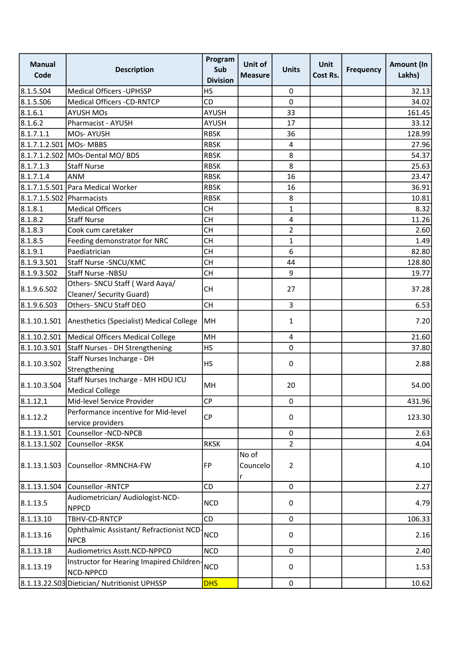| <b>Manual</b><br>Code     | <b>Description</b>                                           | Program<br>Sub<br><b>Division</b> | Unit of<br><b>Measure</b> | <b>Units</b>   | Unit<br><b>Cost Rs.</b> | <b>Frequency</b> | Amount (In<br>Lakhs) |
|---------------------------|--------------------------------------------------------------|-----------------------------------|---------------------------|----------------|-------------------------|------------------|----------------------|
| 8.1.5.S04                 | <b>Medical Officers - UPHSSP</b>                             | <b>HS</b>                         |                           | 0              |                         |                  | 32.13                |
| 8.1.5.506                 | Medical Officers -CD-RNTCP                                   | CD                                |                           | 0              |                         |                  | 34.02                |
| 8.1.6.1                   | <b>AYUSH MOs</b>                                             | <b>AYUSH</b>                      |                           | 33             |                         |                  | 161.45               |
| 8.1.6.2                   | Pharmacist - AYUSH                                           | <b>AYUSH</b>                      |                           | 17             |                         |                  | 33.12                |
| 8.1.7.1.1                 | <b>MOs-AYUSH</b>                                             | <b>RBSK</b>                       |                           | 36             |                         |                  | 128.99               |
| 8.1.7.1.2.S01 MOs- MBBS   |                                                              | <b>RBSK</b>                       |                           | 4              |                         |                  | 27.96                |
|                           | 8.1.7.1.2.S02 MOs-Dental MO/ BDS                             | <b>RBSK</b>                       |                           | 8              |                         |                  | 54.37                |
| 8.1.7.1.3                 | <b>Staff Nurse</b>                                           | <b>RBSK</b>                       |                           | 8              |                         |                  | 25.63                |
| 8.1.7.1.4                 | <b>ANM</b>                                                   | <b>RBSK</b>                       |                           | 16             |                         |                  | 23.47                |
|                           | 8.1.7.1.5.S01 Para Medical Worker                            | <b>RBSK</b>                       |                           | 16             |                         |                  | 36.91                |
| 8.1.7.1.5.S02 Pharmacists |                                                              | <b>RBSK</b>                       |                           | 8              |                         |                  | 10.81                |
| 8.1.8.1                   | <b>Medical Officers</b>                                      | <b>CH</b>                         |                           | $\mathbf{1}$   |                         |                  | 8.32                 |
| 8.1.8.2                   | <b>Staff Nurse</b>                                           | <b>CH</b>                         |                           | 4              |                         |                  | 11.26                |
| 8.1.8.3                   | Cook cum caretaker                                           | <b>CH</b>                         |                           | $\overline{2}$ |                         |                  | 2.60                 |
| 8.1.8.5                   | Feeding demonstrator for NRC                                 | <b>CH</b>                         |                           | $\mathbf{1}$   |                         |                  | 1.49                 |
| 8.1.9.1                   | Paediatrician                                                | <b>CH</b>                         |                           | 6              |                         |                  | 82.80                |
| 8.1.9.3.501               | Staff Nurse - SNCU/KMC                                       | <b>CH</b>                         |                           | 44             |                         |                  | 128.80               |
| 8.1.9.3.502               | Staff Nurse -NBSU                                            | <b>CH</b>                         |                           | 9              |                         |                  | 19.77                |
| 8.1.9.6.S02               | Others- SNCU Staff (Ward Aaya/<br>Cleaner/ Security Guard)   | <b>CH</b>                         |                           | 27             |                         |                  | 37.28                |
| 8.1.9.6.S03               | Others- SNCU Staff DEO                                       | <b>CH</b>                         |                           | $\overline{3}$ |                         |                  | 6.53                 |
| 8.1.10.1.501              | Anesthetics (Specialist) Medical College                     | MH                                |                           | 1              |                         |                  | 7.20                 |
| 8.1.10.2.501              | Medical Officers Medical College                             | MH                                |                           | $\overline{4}$ |                         |                  | 21.60                |
| 8.1.10.3.501              | Staff Nurses - DH Strengthening                              | <b>HS</b>                         |                           | 0              |                         |                  | 37.80                |
| 8.1.10.3.502              | Staff Nurses Incharge - DH<br>Strengthening                  | <b>HS</b>                         |                           | 0              |                         |                  | 2.88                 |
| 8.1.10.3.S04              | Staff Nurses Incharge - MH HDU ICU<br><b>Medical College</b> | MH                                |                           | 20             |                         |                  | 54.00                |
| 8.1.12.1                  | Mid-level Service Provider                                   | <b>CP</b>                         |                           | 0              |                         |                  | 431.96               |
| 8.1.12.2                  | Performance incentive for Mid-level<br>service providers     | <b>CP</b>                         |                           | 0              |                         |                  | 123.30               |
| 8.1.13.1.501              | Counsellor -NCD-NPCB                                         |                                   |                           | 0              |                         |                  | 2.63                 |
| 8.1.13.1.502              | Counsellor -RKSK                                             | <b>RKSK</b>                       |                           | $\overline{2}$ |                         |                  | 4.04                 |
| 8.1.13.1.503              | Counsellor -RMNCHA-FW                                        | FP                                | No of<br>Councelo<br>r    | $\overline{2}$ |                         |                  | 4.10                 |
| 8.1.13.1.504              | Counsellor - RNTCP                                           | CD                                |                           | $\mathbf 0$    |                         |                  | 2.27                 |
|                           | Audiometrician/ Audiologist-NCD-                             |                                   |                           |                |                         |                  |                      |
| 8.1.13.5                  | <b>NPPCD</b>                                                 | <b>NCD</b>                        |                           | 0              |                         |                  | 4.79                 |
| 8.1.13.10                 | TBHV-CD-RNTCP                                                | <b>CD</b>                         |                           | $\mathbf 0$    |                         |                  | 106.33               |
| 8.1.13.16                 | Ophthalmic Assistant/ Refractionist NCD-<br><b>NPCB</b>      | <b>NCD</b>                        |                           | 0              |                         |                  | 2.16                 |
| 8.1.13.18                 | Audiometrics Asstt.NCD-NPPCD                                 | <b>NCD</b>                        |                           | 0              |                         |                  | 2.40                 |
| 8.1.13.19                 | Instructor for Hearing Imapired Children-<br>NCD-NPPCD       | <b>NCD</b>                        |                           | 0              |                         |                  | 1.53                 |
|                           | 8.1.13.22.S03 Dietician/ Nutritionist UPHSSP                 | <b>DHS</b>                        |                           | 0              |                         |                  | 10.62                |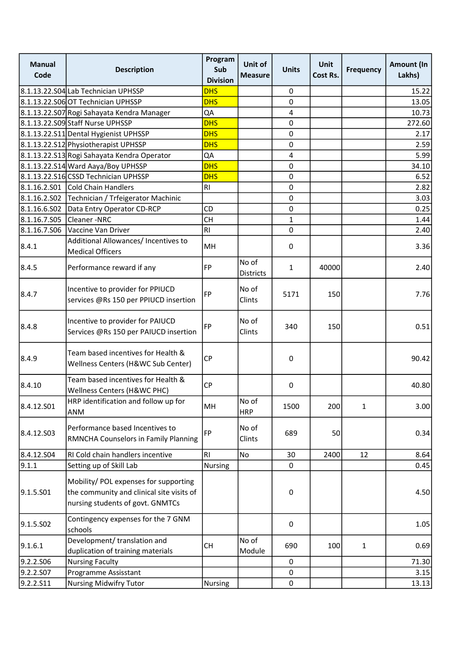| <b>Manual</b><br>Code | <b>Description</b>                                                                                                     | Program<br>Sub<br><b>Division</b> | Unit of<br><b>Measure</b> | <b>Units</b> | Unit<br>Cost Rs. | <b>Frequency</b> | Amount (In<br>Lakhs) |
|-----------------------|------------------------------------------------------------------------------------------------------------------------|-----------------------------------|---------------------------|--------------|------------------|------------------|----------------------|
|                       | 8.1.13.22.S04 Lab Technician UPHSSP                                                                                    | <b>DHS</b>                        |                           | $\pmb{0}$    |                  |                  | 15.22                |
|                       | 8.1.13.22.S06 OT Technician UPHSSP                                                                                     | <b>DHS</b>                        |                           | $\mathbf 0$  |                  |                  | 13.05                |
|                       | 8.1.13.22.S07 Rogi Sahayata Kendra Manager                                                                             | QA                                |                           | 4            |                  |                  | 10.73                |
|                       | 8.1.13.22.S09 Staff Nurse UPHSSP                                                                                       | <b>DHS</b>                        |                           | 0            |                  |                  | 272.60               |
|                       | 8.1.13.22.S11 Dental Hygienist UPHSSP                                                                                  | <b>DHS</b>                        |                           | $\mathbf 0$  |                  |                  | 2.17                 |
|                       | 8.1.13.22.S12 Physiotherapist UPHSSP                                                                                   | <b>DHS</b>                        |                           | 0            |                  |                  | 2.59                 |
|                       | 8.1.13.22.S13 Rogi Sahayata Kendra Operator                                                                            | QA                                |                           | $\pmb{4}$    |                  |                  | 5.99                 |
|                       | 8.1.13.22.S14 Ward Aaya/Boy UPHSSP                                                                                     | <b>DHS</b>                        |                           | $\mathbf 0$  |                  |                  | 34.10                |
|                       | 8.1.13.22.S16 CSSD Technician UPHSSP                                                                                   | <b>DHS</b>                        |                           | 0            |                  |                  | 6.52                 |
|                       | 8.1.16.2.S01 Cold Chain Handlers                                                                                       | R <sub>l</sub>                    |                           | 0            |                  |                  | 2.82                 |
| 8.1.16.2.S02          | Technician / Trfeigerator Machinic                                                                                     |                                   |                           | $\mathbf 0$  |                  |                  | 3.03                 |
| 8.1.16.6.S02          | Data Entry Operator CD-RCP                                                                                             | CD                                |                           | 0            |                  |                  | 0.25                 |
| 8.1.16.7.505          | Cleaner-NRC                                                                                                            | CH                                |                           | $\mathbf{1}$ |                  |                  | 1.44                 |
| 8.1.16.7.506          | Vaccine Van Driver                                                                                                     | R <sub>l</sub>                    |                           | 0            |                  |                  | 2.40                 |
| 8.4.1                 | Additional Allowances/ Incentives to<br><b>Medical Officers</b>                                                        | MH                                |                           | 0            |                  |                  | 3.36                 |
| 8.4.5                 | Performance reward if any                                                                                              | FP                                | No of<br>Districts        | 1            | 40000            |                  | 2.40                 |
| 8.4.7                 | Incentive to provider for PPIUCD<br>services @Rs 150 per PPIUCD insertion                                              | FP                                | No of<br>Clints           | 5171         | 150              |                  | 7.76                 |
| 8.4.8                 | Incentive to provider for PAIUCD<br>Services @Rs 150 per PAIUCD insertion                                              | FP                                | No of<br>Clints           | 340          | 150              |                  | 0.51                 |
| 8.4.9                 | Team based incentives for Health &<br>Wellness Centers (H&WC Sub Center)                                               | <b>CP</b>                         |                           | 0            |                  |                  | 90.42                |
| 8.4.10                | Team based incentives for Health &<br>Wellness Centers (H&WC PHC)                                                      | CP                                |                           | $\pmb{0}$    |                  |                  | 40.80                |
| 8.4.12.S01            | HRP identification and follow up for<br><b>ANM</b>                                                                     | MH                                | No of<br><b>HRP</b>       | 1500         | 200              | $\mathbf{1}$     | 3.00                 |
| 8.4.12.503            | Performance based Incentives to<br><b>RMNCHA Counselors in Family Planning</b>                                         | FP                                | No of<br>Clints           | 689          | 50               |                  | 0.34                 |
| 8.4.12.504            | RI Cold chain handlers incentive                                                                                       | RI                                | No                        | 30           | 2400             | 12               | 8.64                 |
| 9.1.1                 | Setting up of Skill Lab                                                                                                | <b>Nursing</b>                    |                           | $\mathbf 0$  |                  |                  | 0.45                 |
| 9.1.5.501             | Mobility/ POL expenses for supporting<br>the community and clinical site visits of<br>nursing students of govt. GNMTCs |                                   |                           | 0            |                  |                  | 4.50                 |
| 9.1.5.502             | Contingency expenses for the 7 GNM<br>schools                                                                          |                                   |                           | $\pmb{0}$    |                  |                  | 1.05                 |
| 9.1.6.1               | Development/ translation and<br>duplication of training materials                                                      | <b>CH</b>                         | No of<br>Module           | 690          | 100              | $\mathbf{1}$     | 0.69                 |
| 9.2.2.S06             | <b>Nursing Faculty</b>                                                                                                 |                                   |                           | 0            |                  |                  | 71.30                |
| 9.2.2.S07             | Programme Assisstant                                                                                                   |                                   |                           | $\pmb{0}$    |                  |                  | 3.15                 |
| 9.2.2.S11             | <b>Nursing Midwifry Tutor</b>                                                                                          | Nursing                           |                           | 0            |                  |                  | 13.13                |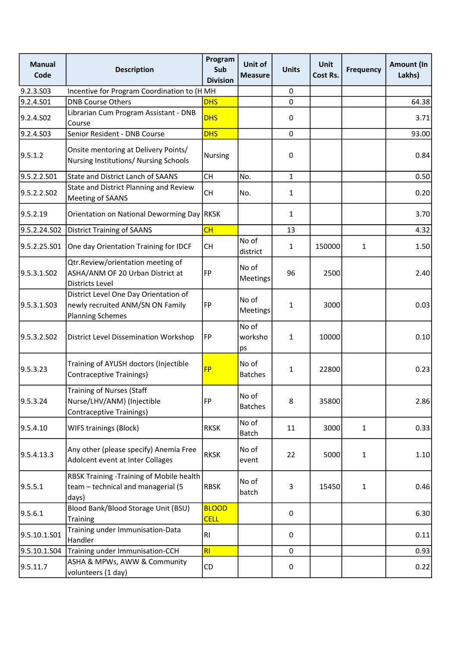| <b>Manual</b><br>Code | <b>Description</b>                                                                                   | Program<br>Sub<br><b>Division</b> | Unit of<br><b>Measure</b> | <b>Units</b> | Unit<br>Cost Rs. | <b>Frequency</b> | <b>Amount (In</b><br>Lakhs) |
|-----------------------|------------------------------------------------------------------------------------------------------|-----------------------------------|---------------------------|--------------|------------------|------------------|-----------------------------|
| 9.2.3.S03             | Incentive for Program Coordination to (HMH                                                           |                                   |                           | 0            |                  |                  |                             |
| 9.2.4.S01             | <b>DNB Course Others</b>                                                                             | <b>DHS</b>                        |                           | 0            |                  |                  | 64.38                       |
| 9.2.4.S02             | Librarian Cum Program Assistant - DNB<br>Course                                                      | <b>DHS</b>                        |                           | 0            |                  |                  | 3.71                        |
| 9.2.4.S03             | Senior Resident - DNB Course                                                                         | <b>DHS</b>                        |                           | $\mathbf 0$  |                  |                  | 93.00                       |
| 9.5.1.2               | Onsite mentoring at Delivery Points/<br>Nursing Institutions/ Nursing Schools                        | <b>Nursing</b>                    |                           | 0            |                  |                  | 0.84                        |
| 9.5.2.2.S01           | <b>State and District Lanch of SAANS</b>                                                             | <b>CH</b>                         | No.                       | $\mathbf{1}$ |                  |                  | 0.50                        |
| 9.5.2.2.S02           | State and District Planning and Review<br>Meeting of SAANS                                           | <b>CH</b>                         | No.                       | 1            |                  |                  | 0.20                        |
| 9.5.2.19              | Orientation on National Deworming Day                                                                | <b>RKSK</b>                       |                           | 1            |                  |                  | 3.70                        |
| 9.5.2.24.S02          | <b>District Training of SAANS</b>                                                                    | CH                                |                           | 13           |                  |                  | 4.32                        |
| 9.5.2.25.S01          | One day Orientation Training for IDCF                                                                | <b>CH</b>                         | No of<br>district         | 1            | 150000           | $\mathbf{1}$     | 1.50                        |
| 9.5.3.1.S02           | Qtr.Review/orientation meeting of<br>ASHA/ANM OF 20 Urban District at<br><b>Districts Level</b>      | FP                                | No of<br>Meetings         | 96           | 2500             |                  | 2.40                        |
| 9.5.3.1.S03           | District Level One Day Orientation of<br>newly recruited ANM/SN ON Family<br><b>Planning Schemes</b> | FP                                | No of<br>Meetings         | $\mathbf{1}$ | 3000             |                  | 0.03                        |
| 9.5.3.2.SO2           | District Level Dissemination Workshop                                                                | FP                                | No of<br>worksho<br>ps    | 1            | 10000            |                  | 0.10                        |
| 9.5.3.23              | Training of AYUSH doctors (Injectible<br><b>Contraceptive Trainings)</b>                             | <b>FP</b>                         | No of<br><b>Batches</b>   | $\mathbf{1}$ | 22800            |                  | 0.23                        |
| 9.5.3.24              | <b>Training of Nurses (Staff</b><br>Nurse/LHV/ANM) (Injectible<br>Contraceptive Trainings)           | FP                                | No of<br><b>Batches</b>   | 8            | 35800            |                  | 2.86                        |
| 9.5.4.10              | WIFS trainings (Block)                                                                               | <b>RKSK</b>                       | No of<br>Batch            | 11           | 3000             | $\mathbf{1}$     | 0.33                        |
| 9.5.4.13.3            | Any other (please specify) Anemia Free<br>Adolcent event at Inter Collages                           | <b>RKSK</b>                       | No of<br>event            | 22           | 5000             | $\mathbf{1}$     | 1.10                        |
| 9.5.5.1               | RBSK Training - Training of Mobile health<br>team - technical and managerial (5<br>days)             | <b>RBSK</b>                       | No of<br>batch            | 3            | 15450            | $\mathbf{1}$     | 0.46                        |
| 9.5.6.1               | Blood Bank/Blood Storage Unit (BSU)<br><b>Training</b>                                               | <b>BLOOD</b><br><b>CELL</b>       |                           | $\mathsf 0$  |                  |                  | 6.30                        |
| 9.5.10.1.S01          | Training under Immunisation-Data<br>Handler                                                          | RI                                |                           | 0            |                  |                  | 0.11                        |
| 9.5.10.1.S04          | Training under Immunisation-CCH                                                                      | RI                                |                           | 0            |                  |                  | 0.93                        |
| 9.5.11.7              | ASHA & MPWs, AWW & Community<br>volunteers (1 day)                                                   | CD                                |                           | $\pmb{0}$    |                  |                  | 0.22                        |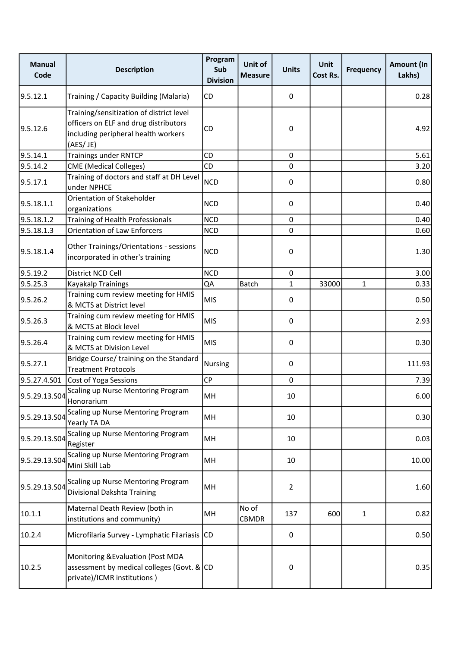| <b>Manual</b><br>Code | <b>Description</b>                                                                                                                   | Program<br>Sub<br><b>Division</b> | Unit of<br><b>Measure</b> | <b>Units</b>   | <b>Unit</b><br>Cost Rs. | <b>Frequency</b> | Amount (In<br>Lakhs) |
|-----------------------|--------------------------------------------------------------------------------------------------------------------------------------|-----------------------------------|---------------------------|----------------|-------------------------|------------------|----------------------|
| 9.5.12.1              | Training / Capacity Building (Malaria)                                                                                               | CD                                |                           | 0              |                         |                  | 0.28                 |
| 9.5.12.6              | Training/sensitization of district level<br>officers on ELF and drug distributors<br>including peripheral health workers<br>(AES/JE) | CD                                |                           | 0              |                         |                  | 4.92                 |
| 9.5.14.1              | <b>Trainings under RNTCP</b>                                                                                                         | CD                                |                           | $\pmb{0}$      |                         |                  | 5.61                 |
| 9.5.14.2              | <b>CME</b> (Medical Colleges)                                                                                                        | <b>CD</b>                         |                           | 0              |                         |                  | 3.20                 |
| 9.5.17.1              | Training of doctors and staff at DH Level<br>under NPHCE                                                                             | <b>NCD</b>                        |                           | 0              |                         |                  | 0.80                 |
| 9.5.18.1.1            | Orientation of Stakeholder<br>organizations                                                                                          | <b>NCD</b>                        |                           | 0              |                         |                  | 0.40                 |
| 9.5.18.1.2            | Training of Health Professionals                                                                                                     | <b>NCD</b>                        |                           | 0              |                         |                  | 0.40                 |
| 9.5.18.1.3            | <b>Orientation of Law Enforcers</b>                                                                                                  | <b>NCD</b>                        |                           | $\mathbf 0$    |                         |                  | 0.60                 |
| 9.5.18.1.4            | Other Trainings/Orientations - sessions<br>incorporated in other's training                                                          | <b>NCD</b>                        |                           | 0              |                         |                  | 1.30                 |
| 9.5.19.2              | District NCD Cell                                                                                                                    | <b>NCD</b>                        |                           | $\mathbf 0$    |                         |                  | 3.00                 |
| 9.5.25.3              | Kayakalp Trainings                                                                                                                   | QA                                | <b>Batch</b>              | $\mathbf{1}$   | 33000                   | 1                | 0.33                 |
| 9.5.26.2              | Training cum review meeting for HMIS<br>& MCTS at District level                                                                     | MIS                               |                           | 0              |                         |                  | 0.50                 |
| 9.5.26.3              | Training cum review meeting for HMIS<br>& MCTS at Block level                                                                        | MIS                               |                           | 0              |                         |                  | 2.93                 |
| 9.5.26.4              | Training cum review meeting for HMIS<br>& MCTS at Division Level                                                                     | MIS                               |                           | 0              |                         |                  | 0.30                 |
| 9.5.27.1              | Bridge Course/ training on the Standard<br><b>Treatment Protocols</b>                                                                | <b>Nursing</b>                    |                           | 0              |                         |                  | 111.93               |
| 9.5.27.4.S01          | Cost of Yoga Sessions                                                                                                                | <b>CP</b>                         |                           | 0              |                         |                  | 7.39                 |
| 9.5.29.13.S04         | Scaling up Nurse Mentoring Program<br>Honorarium                                                                                     | MH                                |                           | 10             |                         |                  | 6.00                 |
| 9.5.29.13.S04         | Scaling up Nurse Mentoring Program<br>Yearly TA DA                                                                                   | MH                                |                           | 10             |                         |                  | 0.30                 |
| 9.5.29.13.S04         | Scaling up Nurse Mentoring Program<br>Register                                                                                       | MH                                |                           | 10             |                         |                  | 0.03                 |
| 9.5.29.13.S04         | Scaling up Nurse Mentoring Program<br>Mini Skill Lab                                                                                 | MH                                |                           | 10             |                         |                  | 10.00                |
| 9.5.29.13.S04         | Scaling up Nurse Mentoring Program<br>Divisional Dakshta Training                                                                    | MH                                |                           | $\overline{2}$ |                         |                  | 1.60                 |
| 10.1.1                | Maternal Death Review (both in<br>institutions and community)                                                                        | MH                                | No of<br>CBMDR            | 137            | 600                     | 1                | 0.82                 |
| 10.2.4                | Microfilaria Survey - Lymphatic Filariasis CD                                                                                        |                                   |                           | $\mathsf 0$    |                         |                  | 0.50                 |
| 10.2.5                | Monitoring & Evaluation (Post MDA<br>assessment by medical colleges (Govt. & CD<br>private)/ICMR institutions)                       |                                   |                           | 0              |                         |                  | 0.35                 |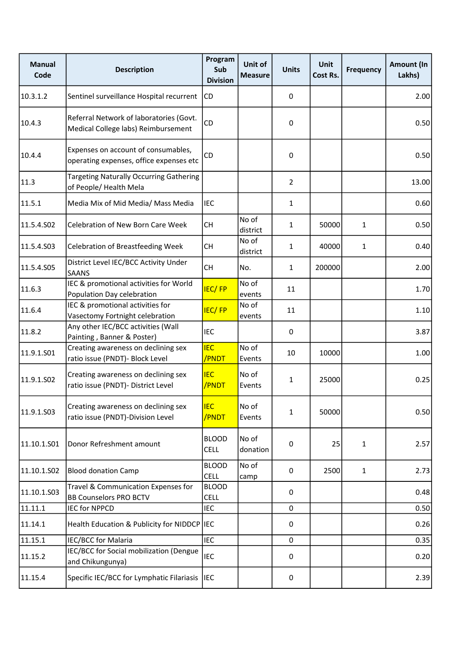| <b>Manual</b><br>Code | <b>Description</b>                                                             | Program<br>Sub<br><b>Division</b> | Unit of<br><b>Measure</b> | <b>Units</b>   | Unit<br>Cost Rs. | <b>Frequency</b> | Amount (In<br>Lakhs) |
|-----------------------|--------------------------------------------------------------------------------|-----------------------------------|---------------------------|----------------|------------------|------------------|----------------------|
| 10.3.1.2              | Sentinel surveillance Hospital recurrent                                       | CD                                |                           | 0              |                  |                  | 2.00                 |
| 10.4.3                | Referral Network of laboratories (Govt.<br>Medical College labs) Reimbursement | CD                                |                           | 0              |                  |                  | 0.50                 |
| 10.4.4                | Expenses on account of consumables,<br>operating expenses, office expenses etc | CD                                |                           | 0              |                  |                  | 0.50                 |
| 11.3                  | <b>Targeting Naturally Occurring Gathering</b><br>of People/ Health Mela       |                                   |                           | $\overline{2}$ |                  |                  | 13.00                |
| 11.5.1                | Media Mix of Mid Media/ Mass Media                                             | <b>IEC</b>                        |                           | $\mathbf{1}$   |                  |                  | 0.60                 |
| 11.5.4.S02            | Celebration of New Born Care Week                                              | <b>CH</b>                         | No of<br>district         | 1              | 50000            | $\mathbf{1}$     | 0.50                 |
| 11.5.4.S03            | <b>Celebration of Breastfeeding Week</b>                                       | <b>CH</b>                         | No of<br>district         | 1              | 40000            | $\mathbf{1}$     | 0.40                 |
| 11.5.4.S05            | District Level IEC/BCC Activity Under<br><b>SAANS</b>                          | <b>CH</b>                         | No.                       | $\mathbf{1}$   | 200000           |                  | 2.00                 |
| 11.6.3                | IEC & promotional activities for World<br>Population Day celebration           | <b>IEC/FP</b>                     | No of<br>events           | 11             |                  |                  | 1.70                 |
| 11.6.4                | IEC & promotional activities for<br>Vasectomy Fortnight celebration            | <b>IEC/FP</b>                     | No of<br>events           | 11             |                  |                  | 1.10                 |
| 11.8.2                | Any other IEC/BCC activities (Wall<br>Painting, Banner & Poster)               | <b>IEC</b>                        |                           | 0              |                  |                  | 3.87                 |
| 11.9.1.S01            | Creating awareness on declining sex<br>ratio issue (PNDT)- Block Level         | <b>IEC</b><br>/PNDT               | No of<br>Events           | 10             | 10000            |                  | 1.00                 |
| 11.9.1.S02            | Creating awareness on declining sex<br>ratio issue (PNDT)- District Level      | <b>IEC</b><br>/PNDT               | No of<br>Events           | 1              | 25000            |                  | 0.25                 |
| 11.9.1.S03            | Creating awareness on declining sex<br>ratio issue (PNDT)-Division Level       | <b>IEC</b><br>/PNDT               | No of<br>Events           | 1              | 50000            |                  | 0.50                 |
| 11.10.1.501           | Donor Refreshment amount                                                       | <b>BLOOD</b><br><b>CELL</b>       | No of<br>donation         | 0              | 25               | $\mathbf{1}$     | 2.57                 |
| 11.10.1.S02           | <b>Blood donation Camp</b>                                                     | <b>BLOOD</b><br><b>CELL</b>       | No of<br>camp             | $\pmb{0}$      | 2500             | 1                | 2.73                 |
| 11.10.1.503           | Travel & Communication Expenses for<br><b>BB Counselors PRO BCTV</b>           | <b>BLOOD</b><br><b>CELL</b>       |                           | $\mathsf 0$    |                  |                  | 0.48                 |
| 11.11.1               | <b>IEC for NPPCD</b>                                                           | <b>IEC</b>                        |                           | 0              |                  |                  | 0.50                 |
| 11.14.1               | Health Education & Publicity for NIDDCP IEC                                    |                                   |                           | 0              |                  |                  | 0.26                 |
| 11.15.1               | IEC/BCC for Malaria                                                            | <b>IEC</b>                        |                           | $\mathbf 0$    |                  |                  | 0.35                 |
| 11.15.2               | IEC/BCC for Social mobilization (Dengue<br>and Chikungunya)                    | <b>IEC</b>                        |                           | $\mathsf 0$    |                  |                  | 0.20                 |
| 11.15.4               | Specific IEC/BCC for Lymphatic Filariasis                                      | <b>I</b> IEC                      |                           | 0              |                  |                  | 2.39                 |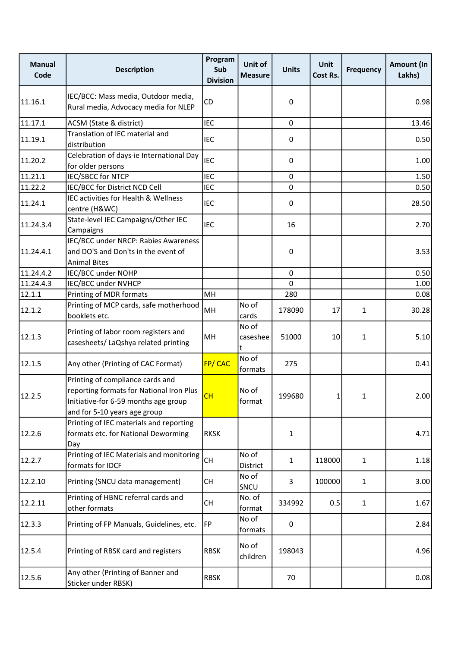| <b>Manual</b><br>Code | <b>Description</b>                                                                                                                                   | Program<br>Sub<br><b>Division</b> | Unit of<br><b>Measure</b> | <b>Units</b> | Unit<br>Cost Rs. | <b>Frequency</b> | <b>Amount (In</b><br>Lakhs) |
|-----------------------|------------------------------------------------------------------------------------------------------------------------------------------------------|-----------------------------------|---------------------------|--------------|------------------|------------------|-----------------------------|
| 11.16.1               | IEC/BCC: Mass media, Outdoor media,<br>Rural media, Advocacy media for NLEP                                                                          | CD                                |                           | 0            |                  |                  | 0.98                        |
| 11.17.1               | ACSM (State & district)                                                                                                                              | <b>IEC</b>                        |                           | 0            |                  |                  | 13.46                       |
| 11.19.1               | Translation of IEC material and<br>distribution                                                                                                      | <b>IEC</b>                        |                           | 0            |                  |                  | 0.50                        |
| 11.20.2               | Celebration of days-ie International Day<br>for older persons                                                                                        | <b>IEC</b>                        |                           | 0            |                  |                  | 1.00                        |
| 11.21.1               | <b>IEC/SBCC for NTCP</b>                                                                                                                             | <b>IEC</b>                        |                           | $\mathbf 0$  |                  |                  | 1.50                        |
| 11.22.2               | IEC/BCC for District NCD Cell                                                                                                                        | <b>IEC</b>                        |                           | $\mathbf 0$  |                  |                  | 0.50                        |
| 11.24.1               | IEC activities for Health & Wellness<br>centre (H&WC)                                                                                                | <b>IEC</b>                        |                           | 0            |                  |                  | 28.50                       |
| 11.24.3.4             | State-level IEC Campaigns/Other IEC<br>Campaigns                                                                                                     | <b>IEC</b>                        |                           | 16           |                  |                  | 2.70                        |
| 11.24.4.1             | IEC/BCC under NRCP: Rabies Awareness<br>and DO'S and Don'ts in the event of<br><b>Animal Bites</b>                                                   |                                   |                           | 0            |                  |                  | 3.53                        |
| 11.24.4.2             | IEC/BCC under NOHP                                                                                                                                   |                                   |                           | $\mathbf 0$  |                  |                  | 0.50                        |
| 11.24.4.3             | IEC/BCC under NVHCP                                                                                                                                  |                                   |                           | $\mathbf 0$  |                  |                  | 1.00                        |
| 12.1.1                | Printing of MDR formats                                                                                                                              | MH                                |                           | 280          |                  |                  | 0.08                        |
| 12.1.2                | Printing of MCP cards, safe motherhood<br>booklets etc.                                                                                              | MH                                | No of<br>cards            | 178090       | 17               | 1                | 30.28                       |
| 12.1.3                | Printing of labor room registers and<br>casesheets/ LaQshya related printing                                                                         | MH                                | No of<br>caseshee<br>t    | 51000        | 10               | $\mathbf{1}$     | $5.10$                      |
| 12.1.5                | Any other (Printing of CAC Format)                                                                                                                   | <b>FP/CAC</b>                     | No of<br>formats          | 275          |                  |                  | 0.41                        |
| 12.2.5                | Printing of compliance cards and<br>reporting formats for National Iron Plus<br>Initiative-for 6-59 months age group<br>and for 5-10 years age group | CH                                | No of<br>format           | 199680       | 1 <sup>1</sup>   | 1                | 2.001                       |
| 12.2.6                | Printing of IEC materials and reporting<br>formats etc. for National Deworming<br>Day                                                                | <b>RKSK</b>                       |                           | 1            |                  |                  | 4.71                        |
| 12.2.7                | Printing of IEC Materials and monitoring<br>formats for IDCF                                                                                         | <b>CH</b>                         | No of<br>District         | $\mathbf{1}$ | 118000           | $\mathbf{1}$     | 1.18                        |
| 12.2.10               | Printing (SNCU data management)                                                                                                                      | <b>CH</b>                         | No of<br>SNCU             | 3            | 100000           | $\mathbf{1}$     | 3.00                        |
| 12.2.11               | Printing of HBNC referral cards and<br>other formats                                                                                                 | CH                                | No. of<br>format          | 334992       | 0.5              | $\mathbf{1}$     | 1.67                        |
| 12.3.3                | Printing of FP Manuals, Guidelines, etc.                                                                                                             | FP                                | No of<br>formats          | 0            |                  |                  | 2.84                        |
| 12.5.4                | Printing of RBSK card and registers                                                                                                                  | <b>RBSK</b>                       | No of<br>children         | 198043       |                  |                  | 4.96                        |
| 12.5.6                | Any other (Printing of Banner and<br>Sticker under RBSK)                                                                                             | <b>RBSK</b>                       |                           | 70           |                  |                  | 0.08                        |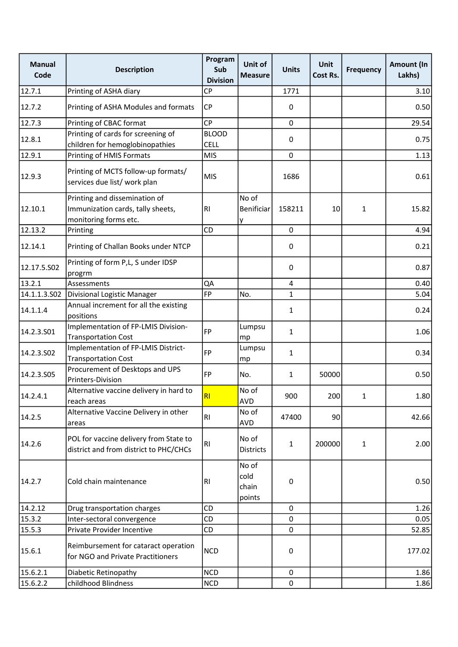| <b>Manual</b><br>Code | <b>Description</b>                                                                          | Program<br>Sub<br><b>Division</b> | Unit of<br><b>Measure</b>        | <b>Units</b>   | Unit<br>Cost Rs. | <b>Frequency</b> | Amount (In<br>Lakhs) |
|-----------------------|---------------------------------------------------------------------------------------------|-----------------------------------|----------------------------------|----------------|------------------|------------------|----------------------|
| 12.7.1                | Printing of ASHA diary                                                                      | CP                                |                                  | 1771           |                  |                  | 3.10                 |
| 12.7.2                | Printing of ASHA Modules and formats                                                        | CP                                |                                  | 0              |                  |                  | 0.50                 |
| 12.7.3                | Printing of CBAC format                                                                     | <b>CP</b>                         |                                  | $\mathbf 0$    |                  |                  | 29.54                |
| 12.8.1                | Printing of cards for screening of                                                          | <b>BLOOD</b>                      |                                  | 0              |                  |                  | 0.75                 |
|                       | children for hemoglobinopathies                                                             | <b>CELL</b>                       |                                  |                |                  |                  |                      |
| 12.9.1                | Printing of HMIS Formats                                                                    | <b>MIS</b>                        |                                  | $\mathbf 0$    |                  |                  | 1.13                 |
| 12.9.3                | Printing of MCTS follow-up formats/<br>services due list/ work plan                         | <b>MIS</b>                        |                                  | 1686           |                  |                  | 0.61                 |
| 12.10.1               | Printing and dissemination of<br>Immunization cards, tally sheets,<br>monitoring forms etc. | <b>RI</b>                         | No of<br>Benificiar<br>y         | 158211         | 10               | 1                | 15.82                |
| 12.13.2               | Printing                                                                                    | CD                                |                                  | $\mathbf 0$    |                  |                  | 4.94                 |
| 12.14.1               | Printing of Challan Books under NTCP                                                        |                                   |                                  | 0              |                  |                  | 0.21                 |
| 12.17.5.S02           | Printing of form P,L, S under IDSP<br>progrm                                                |                                   |                                  | 0              |                  |                  | 0.87                 |
| 13.2.1                | Assessments                                                                                 | QA                                |                                  | $\overline{4}$ |                  |                  | 0.40                 |
| 14.1.1.3.502          | Divisional Logistic Manager                                                                 | FP                                | No.                              | $\mathbf{1}$   |                  |                  | 5.04                 |
| 14.1.1.4              | Annual increment for all the existing<br>positions                                          |                                   |                                  | 1              |                  |                  | 0.24                 |
| 14.2.3.501            | Implementation of FP-LMIS Division-<br><b>Transportation Cost</b>                           | <b>FP</b>                         | Lumpsu<br>mp                     | 1              |                  |                  | 1.06                 |
| 14.2.3.502            | Implementation of FP-LMIS District-<br><b>Transportation Cost</b>                           | <b>FP</b>                         | Lumpsu<br>mp                     | 1              |                  |                  | 0.34                 |
| 14.2.3.505            | Procurement of Desktops and UPS<br>Printers-Division                                        | <b>FP</b>                         | No.                              | 1              | 50000            |                  | 0.50                 |
| 14.2.4.1              | Alternative vaccine delivery in hard to<br>reach areas                                      | RI                                | No of<br>AVD                     | 900            | 200              | 1                | 1.80                 |
| 14.2.5                | Alternative Vaccine Delivery in other<br>areas                                              | RI                                | No of<br><b>AVD</b>              | 47400          | 90               |                  | 42.66                |
| 14.2.6                | POL for vaccine delivery from State to<br>district and from district to PHC/CHCs            | RI                                | No of<br>Districts               | 1              | 200000           | 1                | 2.00                 |
| 14.2.7                | Cold chain maintenance                                                                      | RI                                | No of<br>cold<br>chain<br>points | 0              |                  |                  | 0.50                 |
| 14.2.12               | Drug transportation charges                                                                 | CD                                |                                  | 0              |                  |                  | 1.26                 |
| 15.3.2                | Inter-sectoral convergence                                                                  | CD                                |                                  | 0              |                  |                  | 0.05                 |
| 15.5.3                | Private Provider Incentive                                                                  | CD                                |                                  | $\mathbf 0$    |                  |                  | 52.85                |
| 15.6.1                | Reimbursement for cataract operation<br>for NGO and Private Practitioners                   | <b>NCD</b>                        |                                  | 0              |                  |                  | 177.02               |
| 15.6.2.1              | Diabetic Retinopathy                                                                        | <b>NCD</b>                        |                                  | 0              |                  |                  | 1.86                 |
| 15.6.2.2              | childhood Blindness                                                                         | <b>NCD</b>                        |                                  | $\mathbf 0$    |                  |                  | 1.86                 |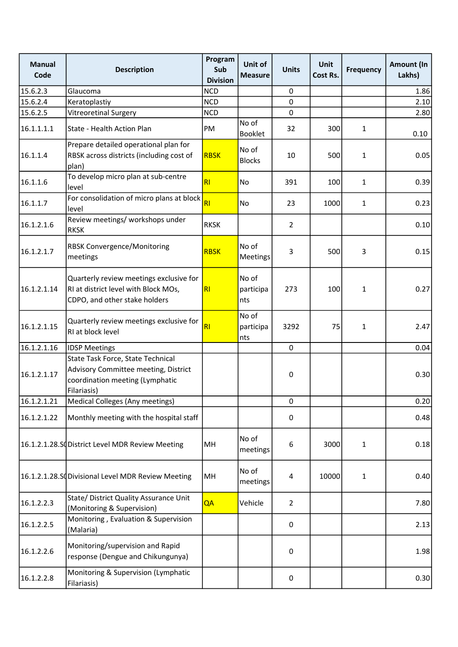| <b>Manual</b><br>Code | <b>Description</b>                                                                                                          | Program<br>Sub<br><b>Division</b> | Unit of<br><b>Measure</b> | <b>Units</b>            | <b>Unit</b><br>Cost Rs. | <b>Frequency</b> | Amount (In<br>Lakhs) |
|-----------------------|-----------------------------------------------------------------------------------------------------------------------------|-----------------------------------|---------------------------|-------------------------|-------------------------|------------------|----------------------|
| 15.6.2.3              | Glaucoma                                                                                                                    | <b>NCD</b>                        |                           | 0                       |                         |                  | 1.86                 |
| 15.6.2.4              | Keratoplastiy                                                                                                               | <b>NCD</b>                        |                           | $\mathbf 0$             |                         |                  | 2.10                 |
| 15.6.2.5              | <b>Vitreoretinal Surgery</b>                                                                                                | <b>NCD</b>                        |                           | $\mathbf 0$             |                         |                  | 2.80                 |
| 16.1.1.1.1            | State - Health Action Plan                                                                                                  | PM                                | No of<br><b>Booklet</b>   | 32                      | 300                     | $\mathbf{1}$     | 0.10                 |
| 16.1.1.4              | Prepare detailed operational plan for<br>RBSK across districts (including cost of<br>plan)                                  | <b>RBSK</b>                       | No of<br><b>Blocks</b>    | 10                      | 500                     | $\mathbf{1}$     | 0.05                 |
| 16.1.1.6              | To develop micro plan at sub-centre<br>level                                                                                | RI                                | <b>No</b>                 | 391                     | 100                     | $\mathbf{1}$     | 0.39                 |
| 16.1.1.7              | For consolidation of micro plans at block<br>level                                                                          | R1                                | No                        | 23                      | 1000                    | $\mathbf{1}$     | 0.23                 |
| 16.1.2.1.6            | Review meetings/ workshops under<br><b>RKSK</b>                                                                             | <b>RKSK</b>                       |                           | $\overline{2}$          |                         |                  | 0.10                 |
| 16.1.2.1.7            | <b>RBSK Convergence/Monitoring</b><br>meetings                                                                              | <b>RBSK</b>                       | No of<br>Meetings         | 3                       | 500                     | 3                | 0.15                 |
| 16.1.2.1.14           | Quarterly review meetings exclusive for<br>RI at district level with Block MOs,<br>CDPO, and other stake holders            | R1                                | No of<br>participa<br>nts | 273                     | 100                     | $\mathbf{1}$     | 0.27                 |
| 16.1.2.1.15           | Quarterly review meetings exclusive for<br>RI at block level                                                                | R1                                | No of<br>participa<br>nts | 3292                    | 75                      | $\mathbf{1}$     | 2.47                 |
| 16.1.2.1.16           | <b>IDSP Meetings</b>                                                                                                        |                                   |                           | $\mathbf 0$             |                         |                  | 0.04                 |
| 16.1.2.1.17           | State Task Force, State Technical<br>Advisory Committee meeting, District<br>coordination meeting (Lymphatic<br>Filariasis) |                                   |                           | 0                       |                         |                  | 0.30                 |
| 16.1.2.1.21           | Medical Colleges (Any meetings)                                                                                             |                                   |                           | 0                       |                         |                  | 0.20                 |
| 16.1.2.1.22           | Monthly meeting with the hospital staff                                                                                     |                                   |                           | 0                       |                         |                  | 0.48                 |
|                       | 16.1.2.1.28.SC District Level MDR Review Meeting                                                                            | MH                                | No of<br>meetings         | 6                       | 3000                    | $\mathbf{1}$     | 0.18                 |
|                       | 16.1.2.1.28.S (Divisional Level MDR Review Meeting                                                                          | MH                                | No of<br>meetings         | $\overline{\mathbf{4}}$ | 10000                   | $\mathbf{1}$     | 0.40                 |
| 16.1.2.2.3            | State/ District Quality Assurance Unit<br>(Monitoring & Supervision)                                                        | QA                                | Vehicle                   | $\overline{2}$          |                         |                  | 7.80                 |
| 16.1.2.2.5            | Monitoring, Evaluation & Supervision<br>(Malaria)                                                                           |                                   |                           | 0                       |                         |                  | 2.13                 |
| 16.1.2.2.6            | Monitoring/supervision and Rapid<br>response (Dengue and Chikungunya)                                                       |                                   |                           | 0                       |                         |                  | 1.98                 |
| 16.1.2.2.8            | Monitoring & Supervision (Lymphatic<br>Filariasis)                                                                          |                                   |                           | $\pmb{0}$               |                         |                  | 0.30                 |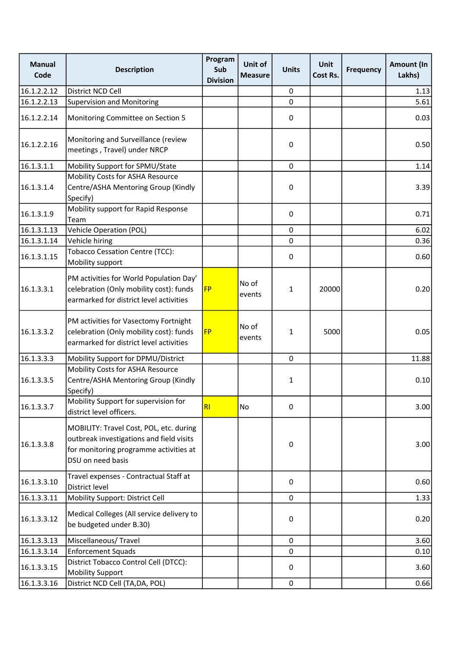| <b>Manual</b><br>Code | <b>Description</b>                                                                                                                                 | Program<br>Sub<br><b>Division</b> | Unit of<br><b>Measure</b> | <b>Units</b> | Unit<br>Cost Rs. | <b>Frequency</b> | Amount (In<br>Lakhs) |
|-----------------------|----------------------------------------------------------------------------------------------------------------------------------------------------|-----------------------------------|---------------------------|--------------|------------------|------------------|----------------------|
| 16.1.2.2.12           | District NCD Cell                                                                                                                                  |                                   |                           | $\pmb{0}$    |                  |                  | 1.13                 |
| 16.1.2.2.13           | <b>Supervision and Monitoring</b>                                                                                                                  |                                   |                           | $\mathbf 0$  |                  |                  | 5.61                 |
| 16.1.2.2.14           | Monitoring Committee on Section 5                                                                                                                  |                                   |                           | 0            |                  |                  | 0.03                 |
| 16.1.2.2.16           | Monitoring and Surveillance (review<br>meetings, Travel) under NRCP                                                                                |                                   |                           | $\pmb{0}$    |                  |                  | 0.50                 |
| 16.1.3.1.1            | Mobility Support for SPMU/State                                                                                                                    |                                   |                           | $\mathbf 0$  |                  |                  | 1.14                 |
| 16.1.3.1.4            | Mobility Costs for ASHA Resource<br>Centre/ASHA Mentoring Group (Kindly<br>Specify)                                                                |                                   |                           | 0            |                  |                  | 3.39                 |
| 16.1.3.1.9            | Mobility support for Rapid Response<br>Team                                                                                                        |                                   |                           | 0            |                  |                  | 0.71                 |
| 16.1.3.1.13           | <b>Vehicle Operation (POL)</b>                                                                                                                     |                                   |                           | $\mathbf 0$  |                  |                  | 6.02                 |
| 16.1.3.1.14           | Vehicle hiring                                                                                                                                     |                                   |                           | 0            |                  |                  | 0.36                 |
| 16.1.3.1.15           | <b>Tobacco Cessation Centre (TCC):</b><br>Mobility support                                                                                         |                                   |                           | $\pmb{0}$    |                  |                  | 0.60                 |
| 16.1.3.3.1            | PM activities for World Population Day'<br>celebration (Only mobility cost): funds<br>earmarked for district level activities                      | <b>FP</b>                         | No of<br>events           | 1            | 20000            |                  | 0.20                 |
| 16.1.3.3.2            | PM activities for Vasectomy Fortnight<br>celebration (Only mobility cost): funds<br>earmarked for district level activities                        | <b>FP</b>                         | No of<br>events           | 1            | 5000             |                  | 0.05                 |
| 16.1.3.3.3            | Mobility Support for DPMU/District                                                                                                                 |                                   |                           | $\mathbf 0$  |                  |                  | 11.88                |
| 16.1.3.3.5            | Mobility Costs for ASHA Resource<br>Centre/ASHA Mentoring Group (Kindly<br>Specify)                                                                |                                   |                           | 1            |                  |                  | 0.10                 |
| 16.1.3.3.7            | Mobility Support for supervision for<br>district level officers.                                                                                   | R1                                | No                        | 0            |                  |                  | 3.00                 |
| 16.1.3.3.8            | MOBILITY: Travel Cost, POL, etc. during<br>outbreak investigations and field visits<br>for monitoring programme activities at<br>DSU on need basis |                                   |                           | 0            |                  |                  | 3.00                 |
| 16.1.3.3.10           | Travel expenses - Contractual Staff at<br>District level                                                                                           |                                   |                           | 0            |                  |                  | 0.60                 |
| 16.1.3.3.11           | Mobility Support: District Cell                                                                                                                    |                                   |                           | $\mathbf 0$  |                  |                  | 1.33                 |
| 16.1.3.3.12           | Medical Colleges (All service delivery to<br>be budgeted under B.30)                                                                               |                                   |                           | 0            |                  |                  | 0.20                 |
| 16.1.3.3.13           | Miscellaneous/ Travel                                                                                                                              |                                   |                           | 0            |                  |                  | 3.60                 |
| 16.1.3.3.14           | <b>Enforcement Squads</b>                                                                                                                          |                                   |                           | 0            |                  |                  | 0.10                 |
| 16.1.3.3.15           | District Tobacco Control Cell (DTCC):<br><b>Mobility Support</b>                                                                                   |                                   |                           | 0            |                  |                  | 3.60                 |
| 16.1.3.3.16           | District NCD Cell (TA, DA, POL)                                                                                                                    |                                   |                           | 0            |                  |                  | 0.66                 |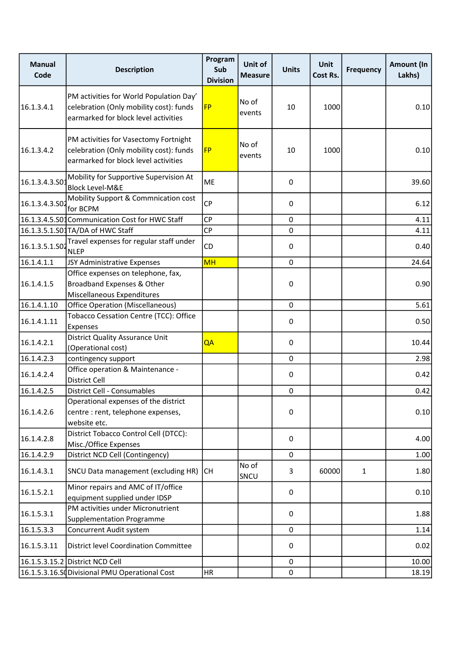| <b>Manual</b><br>Code | <b>Description</b>                                                                                                         | Program<br>Sub<br><b>Division</b> | Unit of<br><b>Measure</b> | <b>Units</b> | <b>Unit</b><br>Cost Rs. | <b>Frequency</b> | Amount (In<br>Lakhs) |
|-----------------------|----------------------------------------------------------------------------------------------------------------------------|-----------------------------------|---------------------------|--------------|-------------------------|------------------|----------------------|
| 16.1.3.4.1            | PM activities for World Population Day'<br>celebration (Only mobility cost): funds<br>earmarked for block level activities | <b>FP</b>                         | No of<br>events           | 10           | 1000                    |                  | 0.10                 |
| 16.1.3.4.2            | PM activities for Vasectomy Fortnight<br>celebration (Only mobility cost): funds<br>earmarked for block level activities   | <b>FP</b>                         | No of<br>events           | 10           | 1000                    |                  | 0.10                 |
| 16.1.3.4.3.SO         | Mobility for Supportive Supervision At<br><b>Block Level-M&amp;E</b>                                                       | <b>ME</b>                         |                           | 0            |                         |                  | 39.60                |
| 16.1.3.4.3.502        | Mobility Support & Commnication cost<br>for BCPM                                                                           | CP                                |                           | 0            |                         |                  | 6.12                 |
|                       | 16.1.3.4.5.S01 Communication Cost for HWC Staff                                                                            | CP                                |                           | 0            |                         |                  | 4.11                 |
|                       | 16.1.3.5.1.S01TA/DA of HWC Staff                                                                                           | CP                                |                           | $\mathbf 0$  |                         |                  | 4.11                 |
| 16.1.3.5.1.SO2        | Travel expenses for regular staff under<br><b>NLEP</b>                                                                     | CD                                |                           | 0            |                         |                  | 0.40                 |
| 16.1.4.1.1            | JSY Administrative Expenses                                                                                                | <b>MH</b>                         |                           | $\mathbf 0$  |                         |                  | 24.64                |
| 16.1.4.1.5            | Office expenses on telephone, fax,<br>Broadband Expenses & Other<br>Miscellaneous Expenditures                             |                                   |                           | 0            |                         |                  | 0.90                 |
| 16.1.4.1.10           | <b>Office Operation (Miscellaneous)</b>                                                                                    |                                   |                           | $\mathbf 0$  |                         |                  | 5.61                 |
| 16.1.4.1.11           | Tobacco Cessation Centre (TCC): Office<br>Expenses                                                                         |                                   |                           | 0            |                         |                  | 0.50                 |
| 16.1.4.2.1            | <b>District Quality Assurance Unit</b><br>(Operational cost)                                                               | QA                                |                           | 0            |                         |                  | 10.44                |
| 16.1.4.2.3            | contingency support                                                                                                        |                                   |                           | $\mathbf 0$  |                         |                  | 2.98                 |
| 16.1.4.2.4            | Office operation & Maintenance -<br><b>District Cell</b>                                                                   |                                   |                           | 0            |                         |                  | 0.42                 |
| 16.1.4.2.5            | District Cell - Consumables                                                                                                |                                   |                           | $\pmb{0}$    |                         |                  | 0.42                 |
| 16.1.4.2.6            | Operational expenses of the district<br>centre : rent, telephone expenses,<br>website etc.                                 |                                   |                           | 0            |                         |                  | 0.10                 |
| 16.1.4.2.8            | District Tobacco Control Cell (DTCC):<br>Misc./Office Expenses                                                             |                                   |                           | 0            |                         |                  | 4.00                 |
| 16.1.4.2.9            | District NCD Cell (Contingency)                                                                                            |                                   |                           | 0            |                         |                  | 1.00                 |
| 16.1.4.3.1            | SNCU Data management (excluding HR)                                                                                        | <b>CH</b>                         | No of<br>SNCU             | 3            | 60000                   | $\mathbf{1}$     | 1.80                 |
| 16.1.5.2.1            | Minor repairs and AMC of IT/office<br>equipment supplied under IDSP                                                        |                                   |                           | 0            |                         |                  | 0.10                 |
| 16.1.5.3.1            | PM activities under Micronutrient<br><b>Supplementation Programme</b>                                                      |                                   |                           | 0            |                         |                  | 1.88                 |
| 16.1.5.3.3            | Concurrent Audit system                                                                                                    |                                   |                           | $\mathbf 0$  |                         |                  | 1.14                 |
| 16.1.5.3.11           | <b>District level Coordination Committee</b>                                                                               |                                   |                           | 0            |                         |                  | 0.02                 |
|                       | 16.1.5.3.15.2 District NCD Cell                                                                                            |                                   |                           | $\pmb{0}$    |                         |                  | 10.00                |
|                       | 16.1.5.3.16.SC Divisional PMU Operational Cost                                                                             | HR                                |                           | $\pmb{0}$    |                         |                  | 18.19                |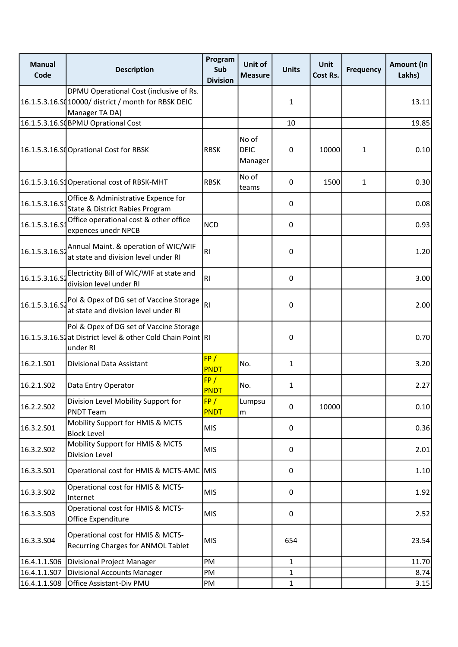| <b>Manual</b><br>Code | <b>Description</b>                                                                                                 | Program<br>Sub<br><b>Division</b> | Unit of<br><b>Measure</b>       | <b>Units</b> | Unit<br><b>Cost Rs.</b> | <b>Frequency</b> | Amount (In<br>Lakhs) |
|-----------------------|--------------------------------------------------------------------------------------------------------------------|-----------------------------------|---------------------------------|--------------|-------------------------|------------------|----------------------|
|                       | DPMU Operational Cost (inclusive of Rs.<br>16.1.5.3.16.SQ 10000/ district / month for RBSK DEIC<br>Manager TA DA)  |                                   |                                 | 1            |                         |                  | 13.11                |
|                       | 16.1.5.3.16.SQBPMU Oprational Cost                                                                                 |                                   |                                 | 10           |                         |                  | 19.85                |
|                       | 16.1.5.3.16.SCOprational Cost for RBSK                                                                             | <b>RBSK</b>                       | No of<br><b>DEIC</b><br>Manager | 0            | 10000                   | $\mathbf{1}$     | 0.10                 |
|                       | 16.1.5.3.16.S1Operational cost of RBSK-MHT                                                                         | <b>RBSK</b>                       | No of<br>teams                  | 0            | 1500                    | $\mathbf{1}$     | 0.30                 |
| 16.1.5.3.16.S         | Office & Administrative Expence for<br>State & District Rabies Program                                             |                                   |                                 | 0            |                         |                  | 0.08                 |
| 16.1.5.3.16.S         | Office operational cost & other office<br>expences unedr NPCB                                                      | <b>NCD</b>                        |                                 | 0            |                         |                  | 0.93                 |
| 16.1.5.3.16.52        | Annual Maint. & operation of WIC/WIF<br>at state and division level under RI                                       | R <sub>l</sub>                    |                                 | 0            |                         |                  | 1.20                 |
| 16.1.5.3.16.S2        | Electrictity Bill of WIC/WIF at state and<br>division level under RI                                               | R <sub>l</sub>                    |                                 | 0            |                         |                  | 3.00                 |
| 16.1.5.3.16.52        | Pol & Opex of DG set of Vaccine Storage<br>at state and division level under RI                                    | RI                                |                                 | 0            |                         |                  | 2.00                 |
|                       | Pol & Opex of DG set of Vaccine Storage<br>16.1.5.3.16.S2at District level & other Cold Chain Point RI<br>under RI |                                   |                                 | 0            |                         |                  | 0.70                 |
| 16.2.1.S01            | Divisional Data Assistant                                                                                          | FP/<br>PNDT                       | No.                             | $\mathbf{1}$ |                         |                  | 3.20                 |
| 16.2.1.SO2            | Data Entry Operator                                                                                                | FP/<br><b>PNDT</b>                | No.                             | $\mathbf{1}$ |                         |                  | 2.27                 |
| 16.2.2.502            | Division Level Mobility Support for<br><b>PNDT Team</b>                                                            | FP/<br><b>PNDT</b>                | Lumpsu<br>m                     | $\mathbf 0$  | 10000                   |                  | 0.10                 |
| 16.3.2.S01            | Mobility Support for HMIS & MCTS<br><b>Block Level</b>                                                             | <b>MIS</b>                        |                                 | 0            |                         |                  | 0.36                 |
| 16.3.2.S02            | Mobility Support for HMIS & MCTS<br>Division Level                                                                 | <b>MIS</b>                        |                                 | 0            |                         |                  | 2.01                 |
| 16.3.3.S01            | Operational cost for HMIS & MCTS-AMC MIS                                                                           |                                   |                                 | 0            |                         |                  | 1.10                 |
| 16.3.3.S02            | Operational cost for HMIS & MCTS-<br>Internet                                                                      | <b>MIS</b>                        |                                 | $\mathsf 0$  |                         |                  | 1.92                 |
| 16.3.3.503            | Operational cost for HMIS & MCTS-<br>Office Expenditure                                                            | <b>MIS</b>                        |                                 | $\mathsf 0$  |                         |                  | 2.52                 |
| 16.3.3.504            | Operational cost for HMIS & MCTS-<br>Recurring Charges for ANMOL Tablet                                            | <b>MIS</b>                        |                                 | 654          |                         |                  | 23.54                |
| 16.4.1.1.506          | Divisional Project Manager                                                                                         | PM                                |                                 | 1            |                         |                  | 11.70                |
| 16.4.1.1.507          | <b>Divisional Accounts Manager</b>                                                                                 | PM                                |                                 | 1            |                         |                  | 8.74                 |
| 16.4.1.1.508          | Office Assistant-Div PMU                                                                                           | PM                                |                                 | 1            |                         |                  | 3.15                 |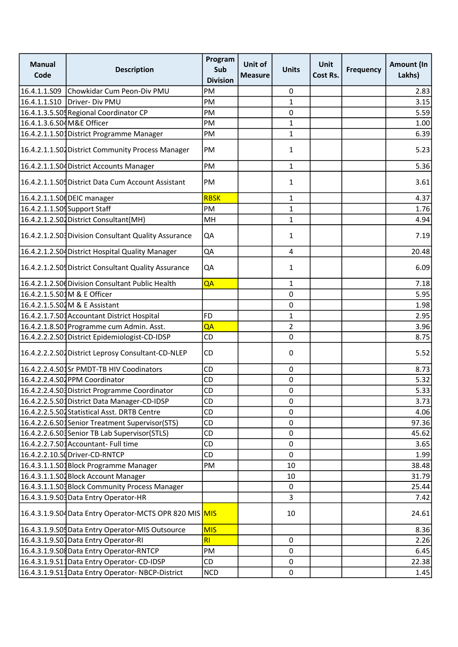| <b>Manual</b><br>Code       | <b>Description</b>                                     | Program<br>Sub<br><b>Division</b> | Unit of<br><b>Measure</b> | <b>Units</b>   | Unit<br>Cost Rs. | <b>Frequency</b> | <b>Amount (In</b><br>Lakhs) |
|-----------------------------|--------------------------------------------------------|-----------------------------------|---------------------------|----------------|------------------|------------------|-----------------------------|
| 16.4.1.1.S09                | Chowkidar Cum Peon-Div PMU                             | PM                                |                           | 0              |                  |                  | 2.83                        |
|                             | 16.4.1.1.S10   Driver- Div PMU                         | PM                                |                           | $\mathbf{1}$   |                  |                  | 3.15                        |
|                             | 16.4.1.3.5.S05 Regional Coordinator CP                 | PM                                |                           | 0              |                  |                  | 5.59                        |
| 16.4.1.3.6.S04M&E Officer   |                                                        | PM                                |                           | $\mathbf{1}$   |                  |                  | 1.00                        |
|                             | 16.4.2.1.1.S01 District Programme Manager              | PM                                |                           | $\mathbf{1}$   |                  |                  | 6.39                        |
|                             | 16.4.2.1.1.S04 District Community Process Manager      | PM                                |                           | 1              |                  |                  | 5.23                        |
|                             | 16.4.2.1.1.S04 District Accounts Manager               | PM                                |                           | $\mathbf{1}$   |                  |                  | 5.36                        |
|                             | 16.4.2.1.1.S05 District Data Cum Account Assistant     | PM                                |                           | 1              |                  |                  | 3.61                        |
|                             | 16.4.2.1.1.S0 DEIC manager                             | <b>RBSK</b>                       |                           | $\mathbf{1}$   |                  |                  | 4.37                        |
| 16.4.2.1.1.S04Support Staff |                                                        | PM                                |                           | $\mathbf{1}$   |                  |                  | 1.76                        |
|                             | 16.4.2.1.2.S04 District Consultant (MH)                | MH                                |                           | $\mathbf{1}$   |                  |                  | 4.94                        |
|                             | 16.4.2.1.2.S03 Division Consultant Quality Assurance   | QA                                |                           | 1              |                  |                  | 7.19                        |
|                             | 16.4.2.1.2.S04 District Hospital Quality Manager       | QA                                |                           | 4              |                  |                  | 20.48                       |
|                             | 16.4.2.1.2.S05 District Consultant Quality Assurance   | QA                                |                           | 1              |                  |                  | 6.09                        |
|                             | 16.4.2.1.2.S06 Division Consultant Public Health       | QA                                |                           | $\mathbf{1}$   |                  |                  | 7.18                        |
|                             | 16.4.2.1.5.S01M & E Officer                            |                                   |                           | 0              |                  |                  | 5.95                        |
|                             | 16.4.2.1.5.S02M & E Assistant                          |                                   |                           | 0              |                  |                  | 1.98                        |
|                             | 16.4.2.1.7.S01 Accountant District Hospital            | FD                                |                           | $\mathbf{1}$   |                  |                  | 2.95                        |
|                             | 16.4.2.1.8.S01 Programme cum Admin. Asst.              | QA                                |                           | $\overline{2}$ |                  |                  | 3.96                        |
|                             | 16.4.2.2.2.S01 District Epidemiologist-CD-IDSP         | CD                                |                           | 0              |                  |                  | 8.75                        |
|                             | 16.4.2.2.2.S04 District Leprosy Consultant-CD-NLEP     | CD                                |                           | 0              |                  |                  | 5.52                        |
|                             | 16.4.2.2.4.S01Sr PMDT-TB HIV Coodinators               | CD                                |                           | $\mathbf 0$    |                  |                  | 8.73                        |
|                             | 16.4.2.2.4.S04PPM Coordinator                          | CD                                |                           | 0              |                  |                  | 5.32                        |
|                             | 16.4.2.2.4.S03 District Programme Coordinator          | CD                                |                           | 0              |                  |                  | 5.33                        |
|                             | 16.4.2.2.5.S01 District Data Manager-CD-IDSP           | CD                                |                           | 0              |                  |                  | 3.73                        |
|                             | 16.4.2.2.5.S02Statistical Asst. DRTB Centre            | CD                                |                           | 0              |                  |                  | 4.06                        |
|                             | 16.4.2.2.6.S01Senior Treatment Supervisor(STS)         | CD                                |                           | $\mathbf 0$    |                  |                  | 97.36                       |
|                             | 16.4.2.2.6.S03Senior TB Lab Supervisor(STLS)           | CD                                |                           | $\mathbf 0$    |                  |                  | 45.62                       |
|                             | 16.4.2.2.7.S01Accountant-Full time                     | CD                                |                           | 0              |                  |                  | 3.65                        |
|                             | 16.4.2.2.10.SQ Driver-CD-RNTCP                         | CD                                |                           | $\mathbf 0$    |                  |                  | 1.99                        |
|                             | 16.4.3.1.1.S01Block Programme Manager                  | PM                                |                           | 10             |                  |                  | 38.48                       |
|                             | 16.4.3.1.1.S04 Block Account Manager                   |                                   |                           | 10             |                  |                  | 31.79                       |
|                             | 16.4.3.1.1.S03 Block Community Process Manager         |                                   |                           | 0              |                  |                  | 25.44                       |
|                             | 16.4.3.1.9.S03 Data Entry Operator-HR                  |                                   |                           | 3              |                  |                  | 7.42                        |
|                             | 16.4.3.1.9.S04Data Entry Operator-MCTS OPR 820 MIS MIS |                                   |                           | 10             |                  |                  | 24.61                       |
|                             | 16.4.3.1.9.S05 Data Entry Operator-MIS Outsource       | <b>MIS</b>                        |                           |                |                  |                  | 8.36                        |
|                             | 16.4.3.1.9.S07Data Entry Operator-RI                   | RI                                |                           | $\mathbf 0$    |                  |                  | 2.26                        |
|                             | 16.4.3.1.9.S08 Data Entry Operator-RNTCP               | PM                                |                           | $\mathbf 0$    |                  |                  | 6.45                        |
|                             | 16.4.3.1.9.S11 Data Entry Operator-CD-IDSP             | CD                                |                           | 0              |                  |                  | 22.38                       |
|                             | 16.4.3.1.9.513 Data Entry Operator-NBCP-District       | <b>NCD</b>                        |                           | $\mathbf 0$    |                  |                  | 1.45                        |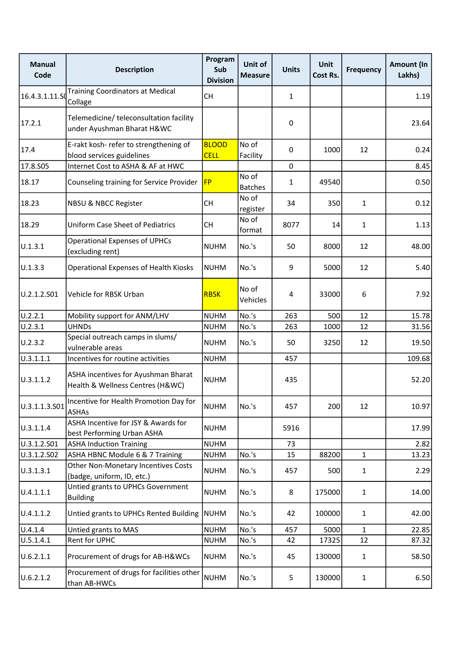| <b>Manual</b><br>Code | <b>Description</b>                                                      | Program<br>Sub<br><b>Division</b> | Unit of<br><b>Measure</b> | <b>Units</b>   | <b>Unit</b><br>Cost Rs. | <b>Frequency</b> | Amount (In<br>Lakhs) |
|-----------------------|-------------------------------------------------------------------------|-----------------------------------|---------------------------|----------------|-------------------------|------------------|----------------------|
| 16.4.3.1.11.SQ        | <b>Training Coordinators at Medical</b><br>Collage                      | <b>CH</b>                         |                           | $\mathbf{1}$   |                         |                  | 1.19                 |
| 17.2.1                | Telemedicine/ teleconsultation facility<br>under Ayushman Bharat H&WC   |                                   |                           | $\pmb{0}$      |                         |                  | 23.64                |
| 17.4                  | E-rakt kosh- refer to strengthening of<br>blood services guidelines     | <b>BLOOD</b><br><b>CELL</b>       | No of<br>Facility         | 0              | 1000                    | 12               | 0.24                 |
| 17.8.S05              | Internet Cost to ASHA & AF at HWC                                       |                                   |                           | $\mathbf 0$    |                         |                  | 8.45                 |
| 18.17                 | Counseling training for Service Provider                                | <b>FP</b>                         | No of<br><b>Batches</b>   | 1              | 49540                   |                  | 0.50                 |
| 18.23                 | NBSU & NBCC Register                                                    | <b>CH</b>                         | No of<br>register         | 34             | 350                     | $\mathbf{1}$     | 0.12                 |
| 18.29                 | <b>Uniform Case Sheet of Pediatrics</b>                                 | <b>CH</b>                         | No of<br>format           | 8077           | 14                      | $\mathbf{1}$     | 1.13                 |
| U.1.3.1               | <b>Operational Expenses of UPHCs</b><br>(excluding rent)                | <b>NUHM</b>                       | No.'s                     | 50             | 8000                    | 12               | 48.00                |
| U.1.3.3               | Operational Expenses of Health Kiosks                                   | <b>NUHM</b>                       | No.'s                     | 9              | 5000                    | 12               | 5.40                 |
| U.2.1.2.S01           | Vehicle for RBSK Urban                                                  | <b>RBSK</b>                       | No of<br>Vehicles         | $\overline{4}$ | 33000                   | 6                | 7.92                 |
| U.2.2.1               | Mobility support for ANM/LHV                                            | <b>NUHM</b>                       | No.'s                     | 263            | 500                     | 12               | 15.78                |
| U.2.3.1               | <b>UHNDs</b>                                                            | <b>NUHM</b>                       | No.'s                     | 263            | 1000                    | 12               | 31.56                |
| U.2.3.2               | Special outreach camps in slums/<br>vulnerable areas                    | <b>NUHM</b>                       | No.'s                     | 50             | 3250                    | 12               | 19.50                |
| U.3.1.1.1             | Incentives for routine activities                                       | <b>NUHM</b>                       |                           | 457            |                         |                  | 109.68               |
| U.3.1.1.2             | ASHA incentives for Ayushman Bharat<br>Health & Wellness Centres (H&WC) | <b>NUHM</b>                       |                           | 435            |                         |                  | 52.20                |
| U.3.1.1.3.S01         | Incentive for Health Promotion Day for<br><b>ASHAs</b>                  | <b>NUHM</b>                       | No.'s                     | 457            | 200                     | 12               | 10.97                |
| U.3.1.1.4             | ASHA Incentive for JSY & Awards for<br>best Performing Urban ASHA       | <b>NUHM</b>                       |                           | 5916           |                         |                  | 17.99                |
| U.3.1.2.S01           | <b>ASHA Induction Training</b>                                          | <b>NUHM</b>                       |                           | 73             |                         |                  | 2.82                 |
| U.3.1.2.S02           | ASHA HBNC Module 6 & 7 Training                                         | <b>NUHM</b>                       | No.'s                     | 15             | 88200                   | $\mathbf{1}$     | 13.23                |
| U.3.1.3.1             | Other Non-Monetary Incentives Costs<br>(badge, uniform, ID, etc.)       | <b>NUHM</b>                       | No.'s                     | 457            | 500                     | $\mathbf{1}$     | 2.29                 |
| U.4.1.1.1             | Untied grants to UPHCs Government<br><b>Building</b>                    | <b>NUHM</b>                       | No.'s                     | 8              | 175000                  | $\mathbf{1}$     | 14.00                |
| U.4.1.1.2             | Untied grants to UPHCs Rented Building                                  | <b>NUHM</b>                       | No.'s                     | 42             | 100000                  | $\mathbf{1}$     | 42.00                |
| U.4.1.4               | Untied grants to MAS                                                    | <b>NUHM</b>                       | No.'s                     | 457            | 5000                    | $\mathbf{1}$     | 22.85                |
| U.5.1.4.1             | Rent for UPHC                                                           | <b>NUHM</b>                       | No.'s                     | 42             | 17325                   | 12               | 87.32                |
| U.6.2.1.1             | Procurement of drugs for AB-H&WCs                                       | <b>NUHM</b>                       | No.'s                     | 45             | 130000                  | $\mathbf{1}$     | 58.50                |
| U.6.2.1.2             | Procurement of drugs for facilities other<br>than AB-HWCs               | <b>NUHM</b>                       | No.'s                     | 5              | 130000                  | $\mathbf{1}$     | 6.50                 |